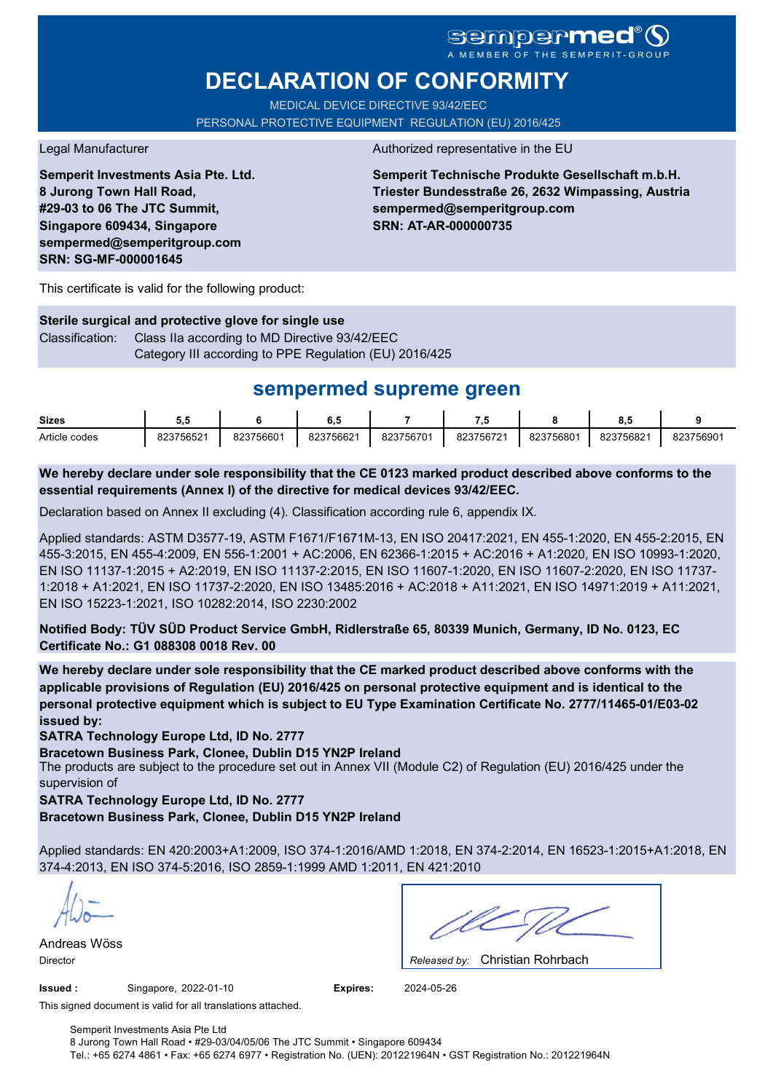# **sempermed**

# **DECLARATION OF CONFORMITY**

MEDICAL DEVICE DIRECTIVE 93/42/EEC PERSONAL PROTECTIVE EQUIPMENT REGULATION (EU) 2016/425

**Semperit Investments Asia Pte. Ltd. 8 Jurong Town Hall Road, #29-03 to 06 The JTC Summit, Singapore 609434, Singapore sempermed@semperitgroup.com SRN: SG-MF-000001645**

#### Legal Manufacturer **Authorized representative in the EU**

**Semperit Technische Produkte Gesellschaft m.b.H. Triester Bundesstraße 26, 2632 Wimpassing, Austria sempermed@semperitgroup.com SRN: AT-AR-000000735**

This certificate is valid for the following product:

**Sterile surgical and protective glove for single use** Classification: Class IIa according to MD Directive 93/42/EEC Category III according to PPE Regulation (EU) 2016/425

## **sempermed supreme green**

| <b>Sizes</b>  | v.        |           | υ.,       |           | - -       |          | 0.0       |           |
|---------------|-----------|-----------|-----------|-----------|-----------|----------|-----------|-----------|
| Article codes | 823756521 | 823756601 | 823756621 | 823756701 | 823756721 | 82375680 | 823756821 | 823756901 |

**We hereby declare under sole responsibility that the CE 0123 marked product described above conforms to the essential requirements (Annex I) of the directive for medical devices 93/42/EEC.**

Declaration based on Annex II excluding (4). Classification according rule 6, appendix IX.

Applied standards: ASTM D3577-19, ASTM F1671/F1671M-13, EN ISO 20417:2021, EN 455-1:2020, EN 455-2:2015, EN 455-3:2015, EN 455-4:2009, EN 556-1:2001 + AC:2006, EN 62366-1:2015 + AC:2016 + A1:2020, EN ISO 10993-1:2020, EN ISO 11137-1:2015 + A2:2019, EN ISO 11137-2:2015, EN ISO 11607-1:2020, EN ISO 11607-2:2020, EN ISO 11737- 1:2018 + A1:2021, EN ISO 11737-2:2020, EN ISO 13485:2016 + AC:2018 + A11:2021, EN ISO 14971:2019 + A11:2021, EN ISO 15223-1:2021, ISO 10282:2014, ISO 2230:2002

**Notified Body: TÜV SÜD Product Service GmbH, Ridlerstraße 65, 80339 Munich, Germany, ID No. 0123, EC Certificate No.: G1 088308 0018 Rev. 00** 

**We hereby declare under sole responsibility that the CE marked product described above conforms with the applicable provisions of Regulation (EU) 2016/425 on personal protective equipment and is identical to the personal protective equipment which is subject to EU Type Examination Certificate No. 2777/11465-01/E03-02 issued by:**

**SATRA Technology Europe Ltd, ID No. 2777**

**Bracetown Business Park, Clonee, Dublin D15 YN2P Ireland**

The products are subject to the procedure set out in Annex VII (Module C2) of Regulation (EU) 2016/425 under the supervision of

**SATRA Technology Europe Ltd, ID No. 2777**

**Bracetown Business Park, Clonee, Dublin D15 YN2P Ireland**

Applied standards: EN 420:2003+A1:2009, ISO 374-1:2016/AMD 1:2018, EN 374-2:2014, EN 16523-1:2015+A1:2018, EN 374-4:2013, EN ISO 374-5:2016, ISO 2859-1:1999 AMD 1:2011, EN 421:2010

Andreas Wöss

Christian Rohrbach Director *Released by:* 

**Issued :** Singapore, 2022-01-10 **Expires:** 2024-05-26

This signed document is valid for all translations attached.

Semperit Investments Asia Pte Ltd 8 Jurong Town Hall Road • #29-03/04/05/06 The JTC Summit • Singapore 609434 Tel.: +65 6274 4861 • Fax: +65 6274 6977 • Registration No. (UEN): 201221964N • GST Registration No.: 201221964N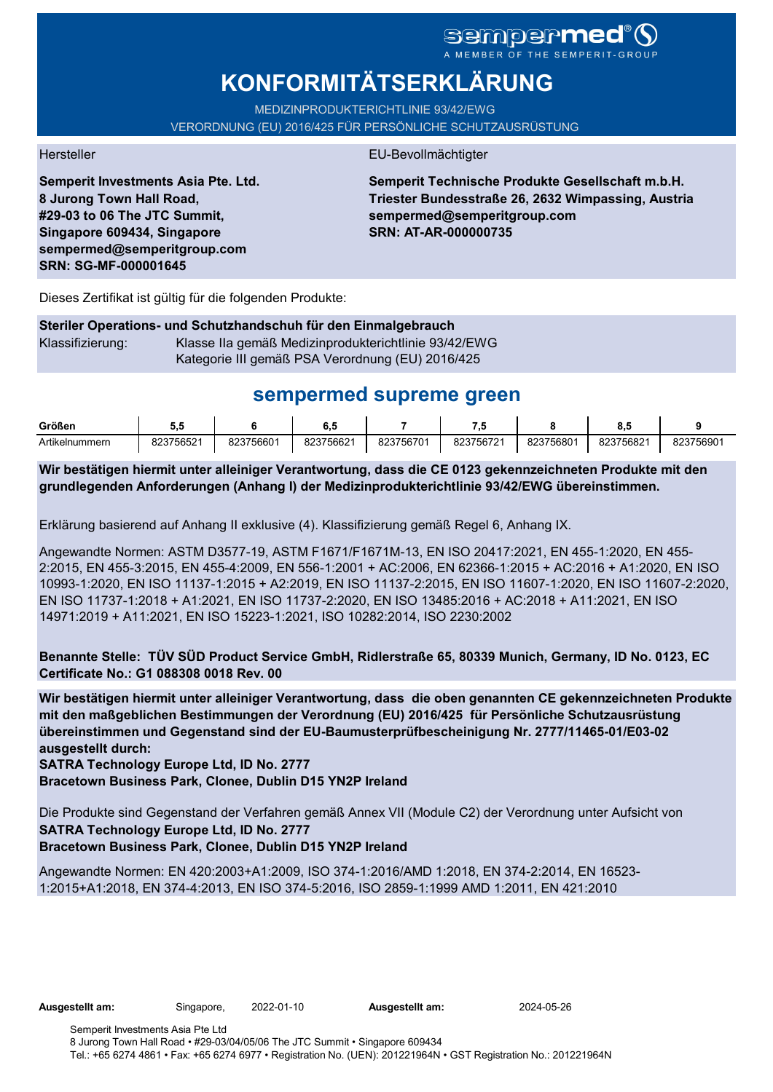# sempermed

# **KONFORMITÄTSERKLÄRUNG**

MEDIZINPRODUKTERICHTLINIE 93/42/EWG VERORDNUNG (EU) 2016/425 FÜR PERSÖNLICHE SCHUTZAUSRÜSTUNG

**Semperit Investments Asia Pte. Ltd. 8 Jurong Town Hall Road, #29-03 to 06 The JTC Summit, Singapore 609434, Singapore sempermed@semperitgroup.com SRN: SG-MF-000001645**

#### Hersteller EU-Bevollmächtigter

**Semperit Technische Produkte Gesellschaft m.b.H. Triester Bundesstraße 26, 2632 Wimpassing, Austria sempermed@semperitgroup.com SRN: AT-AR-000000735**

Dieses Zertifikat ist gültig für die folgenden Produkte:

#### **Steriler Operations- und Schutzhandschuh für den Einmalgebrauch** Klassifizierung: Klasse IIa gemäß Medizinprodukterichtlinie 93/42/EWG Kategorie III gemäß PSA Verordnung (EU) 2016/425

## **sempermed supreme green**

| Größen         | v.        |           | v.u       |           | - 7       |           | υ.,       |           |
|----------------|-----------|-----------|-----------|-----------|-----------|-----------|-----------|-----------|
| Artikelnummern | 823756521 | 823756601 | 823756621 | 823756701 | 823756721 | 823756801 | 823756821 | 823756901 |

**Wir bestätigen hiermit unter alleiniger Verantwortung, dass die CE 0123 gekennzeichneten Produkte mit den grundlegenden Anforderungen (Anhang I) der Medizinprodukterichtlinie 93/42/EWG übereinstimmen.**

Erklärung basierend auf Anhang II exklusive (4). Klassifizierung gemäß Regel 6, Anhang IX.

Angewandte Normen: ASTM D3577-19, ASTM F1671/F1671M-13, EN ISO 20417:2021, EN 455-1:2020, EN 455- 2:2015, EN 455-3:2015, EN 455-4:2009, EN 556-1:2001 + AC:2006, EN 62366-1:2015 + AC:2016 + A1:2020, EN ISO 10993-1:2020, EN ISO 11137-1:2015 + A2:2019, EN ISO 11137-2:2015, EN ISO 11607-1:2020, EN ISO 11607-2:2020, EN ISO 11737-1:2018 + A1:2021, EN ISO 11737-2:2020, EN ISO 13485:2016 + AC:2018 + A11:2021, EN ISO 14971:2019 + A11:2021, EN ISO 15223-1:2021, ISO 10282:2014, ISO 2230:2002

**Benannte Stelle: TÜV SÜD Product Service GmbH, Ridlerstraße 65, 80339 Munich, Germany, ID No. 0123, EC Certificate No.: G1 088308 0018 Rev. 00** 

**Wir bestätigen hiermit unter alleiniger Verantwortung, dass die oben genannten CE gekennzeichneten Produkte mit den maßgeblichen Bestimmungen der Verordnung (EU) 2016/425 für Persönliche Schutzausrüstung übereinstimmen und Gegenstand sind der EU-Baumusterprüfbescheinigung Nr. 2777/11465-01/E03-02 ausgestellt durch:**

#### **SATRA Technology Europe Ltd, ID No. 2777**

**Bracetown Business Park, Clonee, Dublin D15 YN2P Ireland**

Die Produkte sind Gegenstand der Verfahren gemäß Annex VII (Module C2) der Verordnung unter Aufsicht von **SATRA Technology Europe Ltd, ID No. 2777**

### **Bracetown Business Park, Clonee, Dublin D15 YN2P Ireland**

Angewandte Normen: EN 420:2003+A1:2009, ISO 374-1:2016/AMD 1:2018, EN 374-2:2014, EN 16523- 1:2015+A1:2018, EN 374-4:2013, EN ISO 374-5:2016, ISO 2859-1:1999 AMD 1:2011, EN 421:2010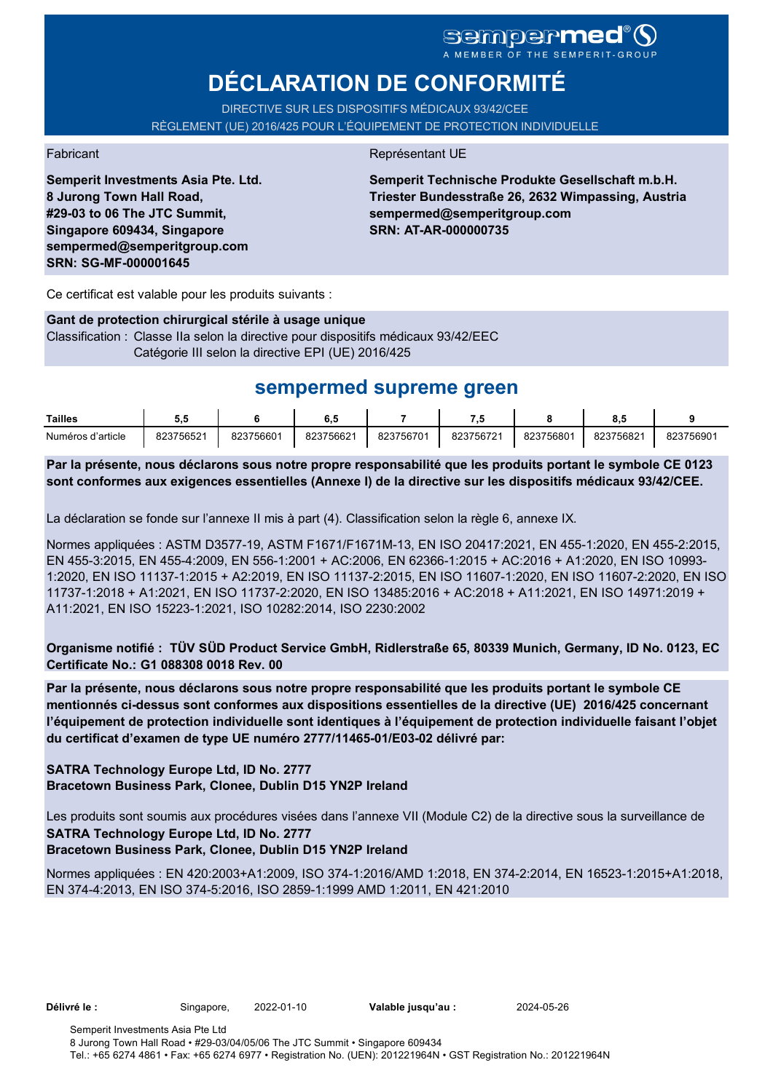# **DÉCLARATION DE CONFORMITÉ**

DIRECTIVE SUR LES DISPOSITIFS MÉDICAUX 93/42/CEE RÈGLEMENT (UE) 2016/425 POUR L'ÉQUIPEMENT DE PROTECTION INDIVIDUELLE

**Semperit Investments Asia Pte. Ltd. 8 Jurong Town Hall Road, #29-03 to 06 The JTC Summit, Singapore 609434, Singapore sempermed@semperitgroup.com SRN: SG-MF-000001645**

#### Fabricant **Représentant UE**

**Semperit Technische Produkte Gesellschaft m.b.H. Triester Bundesstraße 26, 2632 Wimpassing, Austria sempermed@semperitgroup.com SRN: AT-AR-000000735**

Ce certificat est valable pour les produits suivants :

#### **Gant de protection chirurgical stérile à usage unique**

Classification : Classe IIa selon la directive pour dispositifs médicaux 93/42/EEC Catégorie III selon la directive EPI (UE) 2016/425

## **sempermed supreme green**

| Tailles           |           |           | υ         |           | - 1       |           | υ.,       |           |
|-------------------|-----------|-----------|-----------|-----------|-----------|-----------|-----------|-----------|
| Numéros d'article | 823756521 | 823756601 | 823756621 | 823756701 | 823756721 | 823756801 | 823756821 | 823756901 |

**Par la présente, nous déclarons sous notre propre responsabilité que les produits portant le symbole CE 0123 sont conformes aux exigences essentielles (Annexe I) de la directive sur les dispositifs médicaux 93/42/CEE.**

La déclaration se fonde sur l'annexe II mis à part (4). Classification selon la règle 6, annexe IX.

Normes appliquées : ASTM D3577-19, ASTM F1671/F1671M-13, EN ISO 20417:2021, EN 455-1:2020, EN 455-2:2015, EN 455-3:2015, EN 455-4:2009, EN 556-1:2001 + AC:2006, EN 62366-1:2015 + AC:2016 + A1:2020, EN ISO 10993- 1:2020, EN ISO 11137-1:2015 + A2:2019, EN ISO 11137-2:2015, EN ISO 11607-1:2020, EN ISO 11607-2:2020, EN ISO 11737-1:2018 + A1:2021, EN ISO 11737-2:2020, EN ISO 13485:2016 + AC:2018 + A11:2021, EN ISO 14971:2019 + A11:2021, EN ISO 15223-1:2021, ISO 10282:2014, ISO 2230:2002

**Organisme notifié : TÜV SÜD Product Service GmbH, Ridlerstraße 65, 80339 Munich, Germany, ID No. 0123, EC Certificate No.: G1 088308 0018 Rev. 00** 

**Par la présente, nous déclarons sous notre propre responsabilité que les produits portant le symbole CE mentionnés ci-dessus sont conformes aux dispositions essentielles de la directive (UE) 2016/425 concernant l'équipement de protection individuelle sont identiques à l'équipement de protection individuelle faisant l'objet du certificat d'examen de type UE numéro 2777/11465-01/E03-02 délivré par:**

#### **SATRA Technology Europe Ltd, ID No. 2777 Bracetown Business Park, Clonee, Dublin D15 YN2P Ireland**

Les produits sont soumis aux procédures visées dans l'annexe VII (Module C2) de la directive sous la surveillance de **SATRA Technology Europe Ltd, ID No. 2777**

#### **Bracetown Business Park, Clonee, Dublin D15 YN2P Ireland**

Normes appliquées : EN 420:2003+A1:2009, ISO 374-1:2016/AMD 1:2018, EN 374-2:2014, EN 16523-1:2015+A1:2018, EN 374-4:2013, EN ISO 374-5:2016, ISO 2859-1:1999 AMD 1:2011, EN 421:2010

**Délivré le :** Singapore, 2022-01-10 **Valable jusqu'au :** 2024-05-26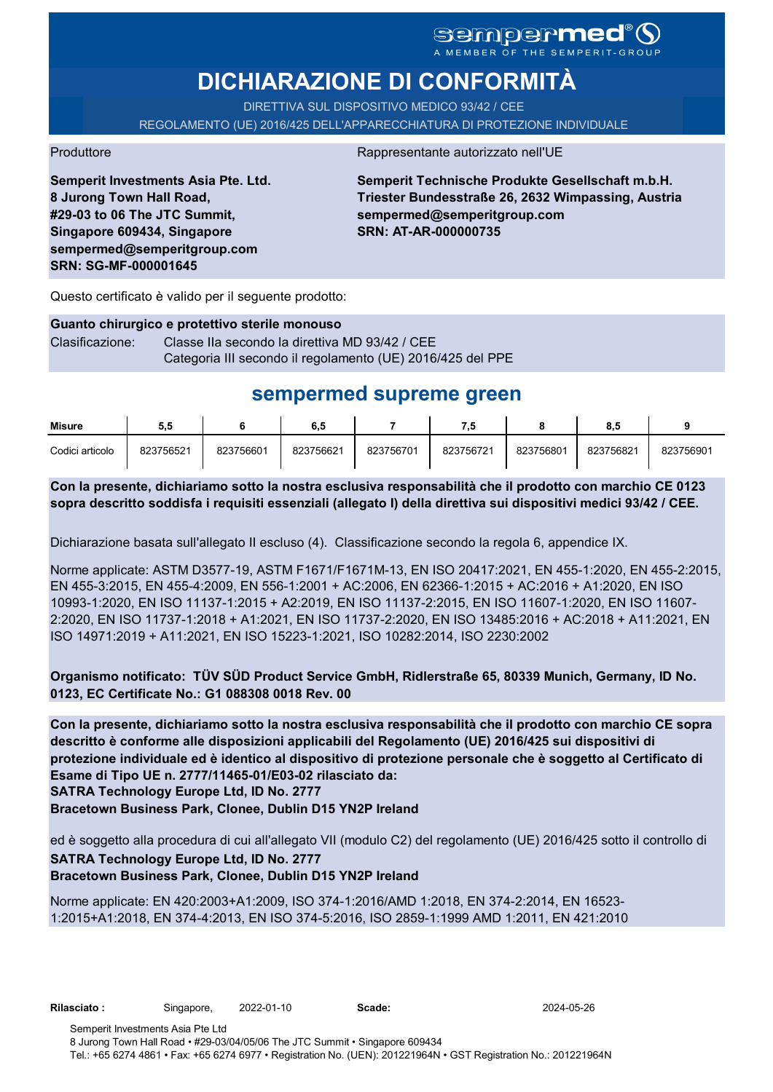# **DICHIARAZIONE DI CONFORMITÀ**

DIRETTIVA SUL DISPOSITIVO MEDICO 93/42 / CEE REGOLAMENTO (UE) 2016/425 DELL'APPARECCHIATURA DI PROTEZIONE INDIVIDUALE

Produttore Rappresentante autorizzato nell'UE

**Semperit Investments Asia Pte. Ltd. 8 Jurong Town Hall Road, #29-03 to 06 The JTC Summit, Singapore 609434, Singapore sempermed@semperitgroup.com SRN: SG-MF-000001645**

**Semperit Technische Produkte Gesellschaft m.b.H. Triester Bundesstraße 26, 2632 Wimpassing, Austria sempermed@semperitgroup.com SRN: AT-AR-000000735**

Questo certificato è valido per il seguente prodotto:

## **Guanto chirurgico e protettivo sterile monouso** Clasificazione: Classe IIa secondo la direttiva MD 93/42 / CEE

Categoria III secondo il regolamento (UE) 2016/425 del PPE

# **sempermed supreme green**

| <b>Misure</b>   | ວ.ວ       |           | 6.5       |           |           |           | o.u       |           |
|-----------------|-----------|-----------|-----------|-----------|-----------|-----------|-----------|-----------|
| Codici articolo | 823756521 | 823756601 | 823756621 | 823756701 | 823756721 | 823756801 | 823756821 | 823756901 |

**Con la presente, dichiariamo sotto la nostra esclusiva responsabilità che il prodotto con marchio CE 0123 sopra descritto soddisfa i requisiti essenziali (allegato I) della direttiva sui dispositivi medici 93/42 / CEE.**

Dichiarazione basata sull'allegato II escluso (4). Classificazione secondo la regola 6, appendice IX.

Norme applicate: ASTM D3577-19, ASTM F1671/F1671M-13, EN ISO 20417:2021, EN 455-1:2020, EN 455-2:2015, EN 455-3:2015, EN 455-4:2009, EN 556-1:2001 + AC:2006, EN 62366-1:2015 + AC:2016 + A1:2020, EN ISO 10993-1:2020, EN ISO 11137-1:2015 + A2:2019, EN ISO 11137-2:2015, EN ISO 11607-1:2020, EN ISO 11607- 2:2020, EN ISO 11737-1:2018 + A1:2021, EN ISO 11737-2:2020, EN ISO 13485:2016 + AC:2018 + A11:2021, EN ISO 14971:2019 + A11:2021, EN ISO 15223-1:2021, ISO 10282:2014, ISO 2230:2002

**Organismo notificato: TÜV SÜD Product Service GmbH, Ridlerstraße 65, 80339 Munich, Germany, ID No. 0123, EC Certificate No.: G1 088308 0018 Rev. 00** 

**SATRA Technology Europe Ltd, ID No. 2777 Con la presente, dichiariamo sotto la nostra esclusiva responsabilità che il prodotto con marchio CE sopra descritto è conforme alle disposizioni applicabili del Regolamento (UE) 2016/425 sui dispositivi di protezione individuale ed è identico al dispositivo di protezione personale che è soggetto al Certificato di Esame di Tipo UE n. 2777/11465-01/E03-02 rilasciato da:**

**Bracetown Business Park, Clonee, Dublin D15 YN2P Ireland**

ed è soggetto alla procedura di cui all'allegato VII (modulo C2) del regolamento (UE) 2016/425 sotto il controllo di **SATRA Technology Europe Ltd, ID No. 2777**

### **Bracetown Business Park, Clonee, Dublin D15 YN2P Ireland**

Norme applicate: EN 420:2003+A1:2009, ISO 374-1:2016/AMD 1:2018, EN 374-2:2014, EN 16523- 1:2015+A1:2018, EN 374-4:2013, EN ISO 374-5:2016, ISO 2859-1:1999 AMD 1:2011, EN 421:2010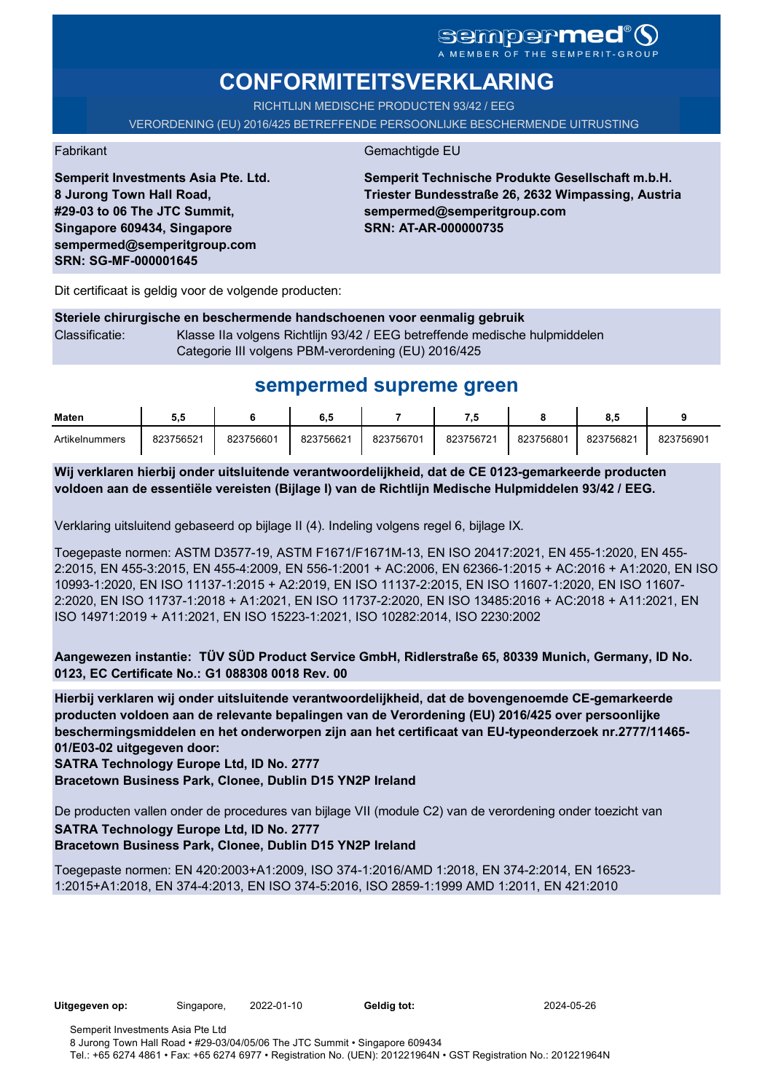# **CONFORMITEITSVERKLARING**

RICHTLIJN MEDISCHE PRODUCTEN 93/42 / EEG

VERORDENING (EU) 2016/425 BETREFFENDE PERSOONLIJKE BESCHERMENDE UITRUSTING

Fabrikant Gemachtigde EU

**Semperit Technische Produkte Gesellschaft m.b.H. Triester Bundesstraße 26, 2632 Wimpassing, Austria sempermed@semperitgroup.com SRN: AT-AR-000000735**

Dit certificaat is geldig voor de volgende producten:

**Semperit Investments Asia Pte. Ltd.**

**8 Jurong Town Hall Road, #29-03 to 06 The JTC Summit, Singapore 609434, Singapore sempermed@semperitgroup.com**

**SRN: SG-MF-000001645**

#### **Steriele chirurgische en beschermende handschoenen voor eenmalig gebruik** Classificatie: Klasse IIa volgens Richtlijn 93/42 / EEG betreffende medische hulpmiddelen Categorie III volgens PBM-verordening (EU) 2016/425

## **sempermed supreme green**

| Maten          | ວ.ວ       |           | 6.5       |           | .         |           | о         |           |
|----------------|-----------|-----------|-----------|-----------|-----------|-----------|-----------|-----------|
| Artikelnummers | 823756521 | 823756601 | 823756621 | 823756701 | 823756721 | 823756801 | 823756821 | 823756901 |

**Wij verklaren hierbij onder uitsluitende verantwoordelijkheid, dat de CE 0123-gemarkeerde producten voldoen aan de essentiële vereisten (Bijlage I) van de Richtlijn Medische Hulpmiddelen 93/42 / EEG.**

Verklaring uitsluitend gebaseerd op bijlage II (4). Indeling volgens regel 6, bijlage IX.

Toegepaste normen: ASTM D3577-19, ASTM F1671/F1671M-13, EN ISO 20417:2021, EN 455-1:2020, EN 455- 2:2015, EN 455-3:2015, EN 455-4:2009, EN 556-1:2001 + AC:2006, EN 62366-1:2015 + AC:2016 + A1:2020, EN ISO 10993-1:2020, EN ISO 11137-1:2015 + A2:2019, EN ISO 11137-2:2015, EN ISO 11607-1:2020, EN ISO 11607- 2:2020, EN ISO 11737-1:2018 + A1:2021, EN ISO 11737-2:2020, EN ISO 13485:2016 + AC:2018 + A11:2021, EN ISO 14971:2019 + A11:2021, EN ISO 15223-1:2021, ISO 10282:2014, ISO 2230:2002

**Aangewezen instantie: TÜV SÜD Product Service GmbH, Ridlerstraße 65, 80339 Munich, Germany, ID No. 0123, EC Certificate No.: G1 088308 0018 Rev. 00** 

**Hierbij verklaren wij onder uitsluitende verantwoordelijkheid, dat de bovengenoemde CE-gemarkeerde producten voldoen aan de relevante bepalingen van de Verordening (EU) 2016/425 over persoonlijke beschermingsmiddelen en het onderworpen zijn aan het certificaat van EU-typeonderzoek nr.2777/11465- 01/E03-02 uitgegeven door:**

**SATRA Technology Europe Ltd, ID No. 2777**

**Bracetown Business Park, Clonee, Dublin D15 YN2P Ireland**

De producten vallen onder de procedures van bijlage VII (module C2) van de verordening onder toezicht van **SATRA Technology Europe Ltd, ID No. 2777 Bracetown Business Park, Clonee, Dublin D15 YN2P Ireland**

Toegepaste normen: EN 420:2003+A1:2009, ISO 374-1:2016/AMD 1:2018, EN 374-2:2014, EN 16523- 1:2015+A1:2018, EN 374-4:2013, EN ISO 374-5:2016, ISO 2859-1:1999 AMD 1:2011, EN 421:2010

**Uitgegeven op:** Singapore, 2022-01-10 **Geldig tot:** 2024-05-26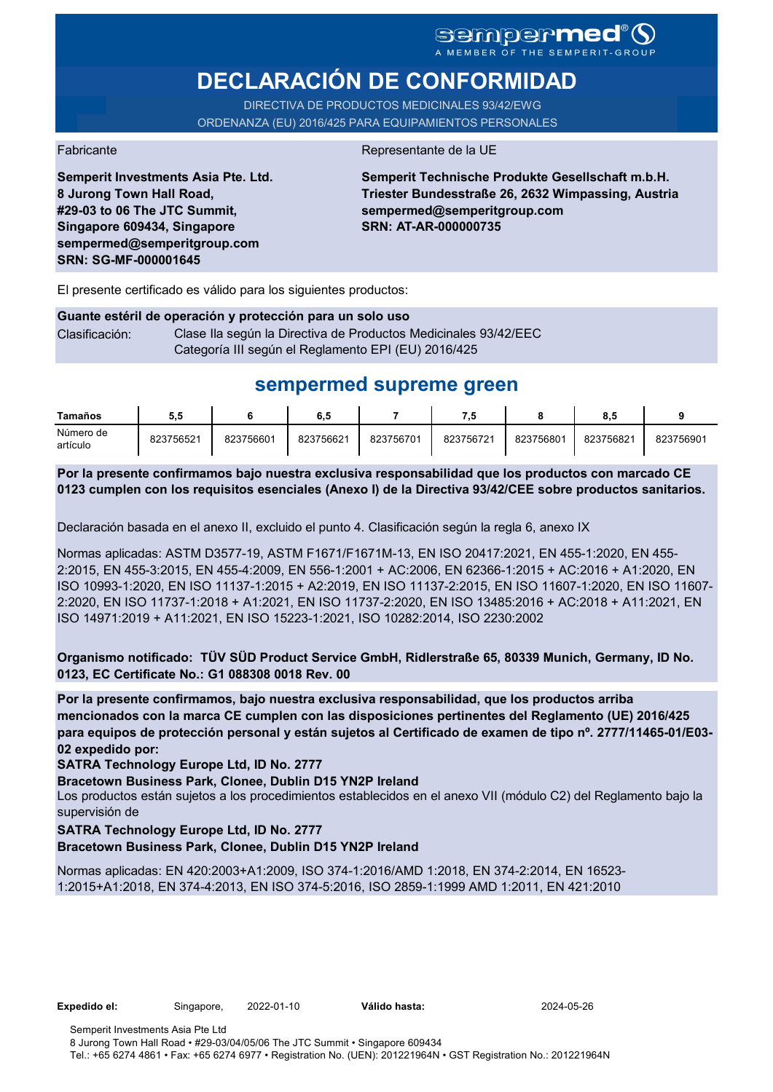# **DECLARACIÓN DE CONFORMIDAD**

DIRECTIVA DE PRODUCTOS MEDICINALES 93/42/EWG ORDENANZA (EU) 2016/425 PARA EQUIPAMIENTOS PERSONALES

**Semperit Investments Asia Pte. Ltd.**

**8 Jurong Town Hall Road, #29-03 to 06 The JTC Summit, Singapore 609434, Singapore sempermed@semperitgroup.com**

**SRN: SG-MF-000001645**

Fabricante de la UE

**Semperit Technische Produkte Gesellschaft m.b.H. Triester Bundesstraße 26, 2632 Wimpassing, Austria sempermed@semperitgroup.com SRN: AT-AR-000000735**

El presente certificado es válido para los siguientes productos:

#### **Guante estéril de operación y protección para un solo uso** Clasificación: Clase Ila según la Directiva de Productos Medicinales 93/42/EEC Categoría III según el Reglamento EPI (EU) 2016/425

## **sempermed supreme green**

| Tamaños               | 5.5       |           | 6.5       |           |           |           | 8.5       |           |
|-----------------------|-----------|-----------|-----------|-----------|-----------|-----------|-----------|-----------|
| Número de<br>artículo | 823756521 | 823756601 | 823756621 | 823756701 | 823756721 | 823756801 | 823756821 | 823756901 |

**Por la presente confirmamos bajo nuestra exclusiva responsabilidad que los productos con marcado CE 0123 cumplen con los requisitos esenciales (Anexo I) de la Directiva 93/42/CEE sobre productos sanitarios.**

Declaración basada en el anexo II, excluido el punto 4. Clasificación según la regla 6, anexo IX

Normas aplicadas: ASTM D3577-19, ASTM F1671/F1671M-13, EN ISO 20417:2021, EN 455-1:2020, EN 455- 2:2015, EN 455-3:2015, EN 455-4:2009, EN 556-1:2001 + AC:2006, EN 62366-1:2015 + AC:2016 + A1:2020, EN ISO 10993-1:2020, EN ISO 11137-1:2015 + A2:2019, EN ISO 11137-2:2015, EN ISO 11607-1:2020, EN ISO 11607- 2:2020, EN ISO 11737-1:2018 + A1:2021, EN ISO 11737-2:2020, EN ISO 13485:2016 + AC:2018 + A11:2021, EN ISO 14971:2019 + A11:2021, EN ISO 15223-1:2021, ISO 10282:2014, ISO 2230:2002

**Organismo notificado: TÜV SÜD Product Service GmbH, Ridlerstraße 65, 80339 Munich, Germany, ID No. 0123, EC Certificate No.: G1 088308 0018 Rev. 00** 

**Por la presente confirmamos, bajo nuestra exclusiva responsabilidad, que los productos arriba mencionados con la marca CE cumplen con las disposiciones pertinentes del Reglamento (UE) 2016/425 para equipos de protección personal y están sujetos al Certificado de examen de tipo nº. 2777/11465-01/E03- 02 expedido por:**

**SATRA Technology Europe Ltd, ID No. 2777**

**Bracetown Business Park, Clonee, Dublin D15 YN2P Ireland**

Los productos están sujetos a los procedimientos establecidos en el anexo VII (módulo C2) del Reglamento bajo la supervisión de

#### **SATRA Technology Europe Ltd, ID No. 2777**

**Bracetown Business Park, Clonee, Dublin D15 YN2P Ireland**

Normas aplicadas: EN 420:2003+A1:2009, ISO 374-1:2016/AMD 1:2018, EN 374-2:2014, EN 16523- 1:2015+A1:2018, EN 374-4:2013, EN ISO 374-5:2016, ISO 2859-1:1999 AMD 1:2011, EN 421:2010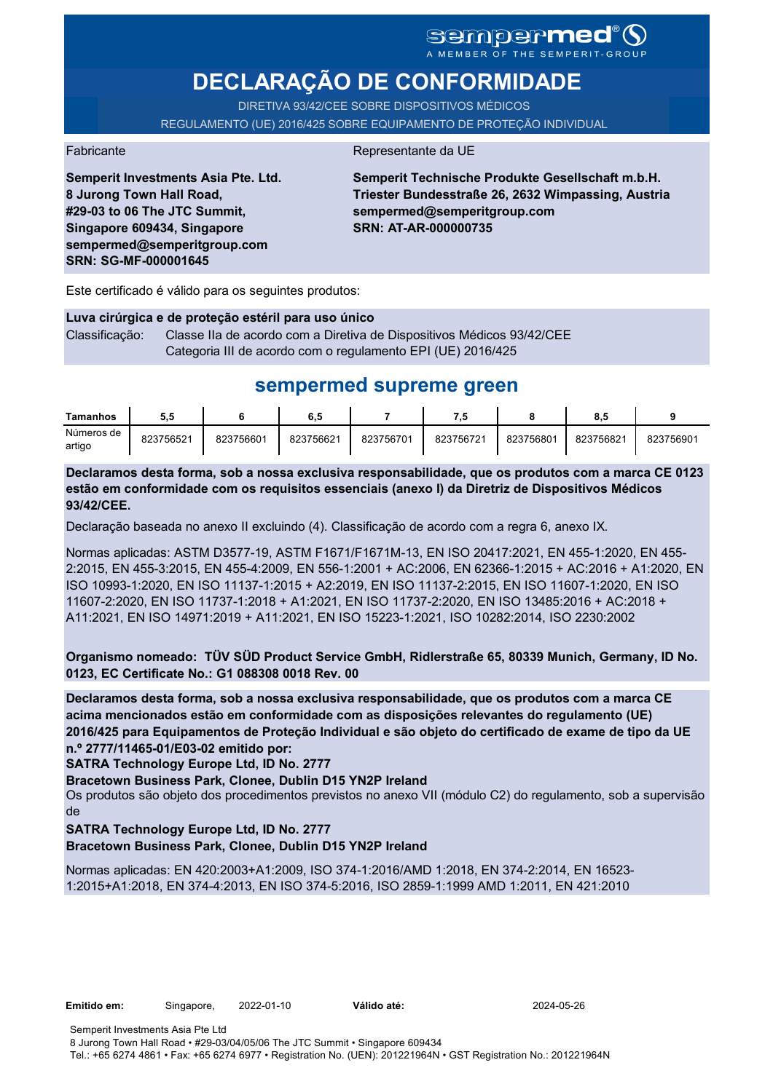# SCMPCFMCC<sup>®</sup>

# **DECLARAÇÃO DE CONFORMIDADE**

DIRETIVA 93/42/CEE SOBRE DISPOSITIVOS MÉDICOS REGULAMENTO (UE) 2016/425 SOBRE EQUIPAMENTO DE PROTEÇÃO INDIVIDUAL

#### Fabricante **Representante da UE**

**Semperit Investments Asia Pte. Ltd. 8 Jurong Town Hall Road, #29-03 to 06 The JTC Summit, Singapore 609434, Singapore sempermed@semperitgroup.com SRN: SG-MF-000001645**

**Semperit Technische Produkte Gesellschaft m.b.H. Triester Bundesstraße 26, 2632 Wimpassing, Austria sempermed@semperitgroup.com SRN: AT-AR-000000735**

Este certificado é válido para os seguintes produtos:

**Luva cirúrgica e de proteção estéril para uso único** Classificação: Classe IIa de acordo com a Diretiva de Dispositivos Médicos 93/42/CEE Categoria III de acordo com o regulamento EPI (UE) 2016/425

## **sempermed supreme green**

| Tamanhos             | 5.5       |           | 6.5       |           | . . v     |           | ο.,       |           |
|----------------------|-----------|-----------|-----------|-----------|-----------|-----------|-----------|-----------|
| Números de<br>artigo | 823756521 | 823756601 | 823756621 | 823756701 | 823756721 | 823756801 | 823756821 | 823756901 |

**Declaramos desta forma, sob a nossa exclusiva responsabilidade, que os produtos com a marca CE 0123 estão em conformidade com os requisitos essenciais (anexo I) da Diretriz de Dispositivos Médicos 93/42/CEE.**

Declaração baseada no anexo II excluindo (4). Classificação de acordo com a regra 6, anexo IX.

Normas aplicadas: ASTM D3577-19, ASTM F1671/F1671M-13, EN ISO 20417:2021, EN 455-1:2020, EN 455- 2:2015, EN 455-3:2015, EN 455-4:2009, EN 556-1:2001 + AC:2006, EN 62366-1:2015 + AC:2016 + A1:2020, EN ISO 10993-1:2020, EN ISO 11137-1:2015 + A2:2019, EN ISO 11137-2:2015, EN ISO 11607-1:2020, EN ISO 11607-2:2020, EN ISO 11737-1:2018 + A1:2021, EN ISO 11737-2:2020, EN ISO 13485:2016 + AC:2018 + A11:2021, EN ISO 14971:2019 + A11:2021, EN ISO 15223-1:2021, ISO 10282:2014, ISO 2230:2002

**Organismo nomeado: TÜV SÜD Product Service GmbH, Ridlerstraße 65, 80339 Munich, Germany, ID No. 0123, EC Certificate No.: G1 088308 0018 Rev. 00** 

**Declaramos desta forma, sob a nossa exclusiva responsabilidade, que os produtos com a marca CE acima mencionados estão em conformidade com as disposições relevantes do regulamento (UE) 2016/425 para Equipamentos de Proteção Individual e são objeto do certificado de exame de tipo da UE n.º 2777/11465-01/E03-02 emitido por:**

**SATRA Technology Europe Ltd, ID No. 2777**

**Bracetown Business Park, Clonee, Dublin D15 YN2P Ireland**

Os produtos são objeto dos procedimentos previstos no anexo VII (módulo C2) do regulamento, sob a supervisão de

**SATRA Technology Europe Ltd, ID No. 2777**

**Bracetown Business Park, Clonee, Dublin D15 YN2P Ireland**

Normas aplicadas: EN 420:2003+A1:2009, ISO 374-1:2016/AMD 1:2018, EN 374-2:2014, EN 16523- 1:2015+A1:2018, EN 374-4:2013, EN ISO 374-5:2016, ISO 2859-1:1999 AMD 1:2011, EN 421:2010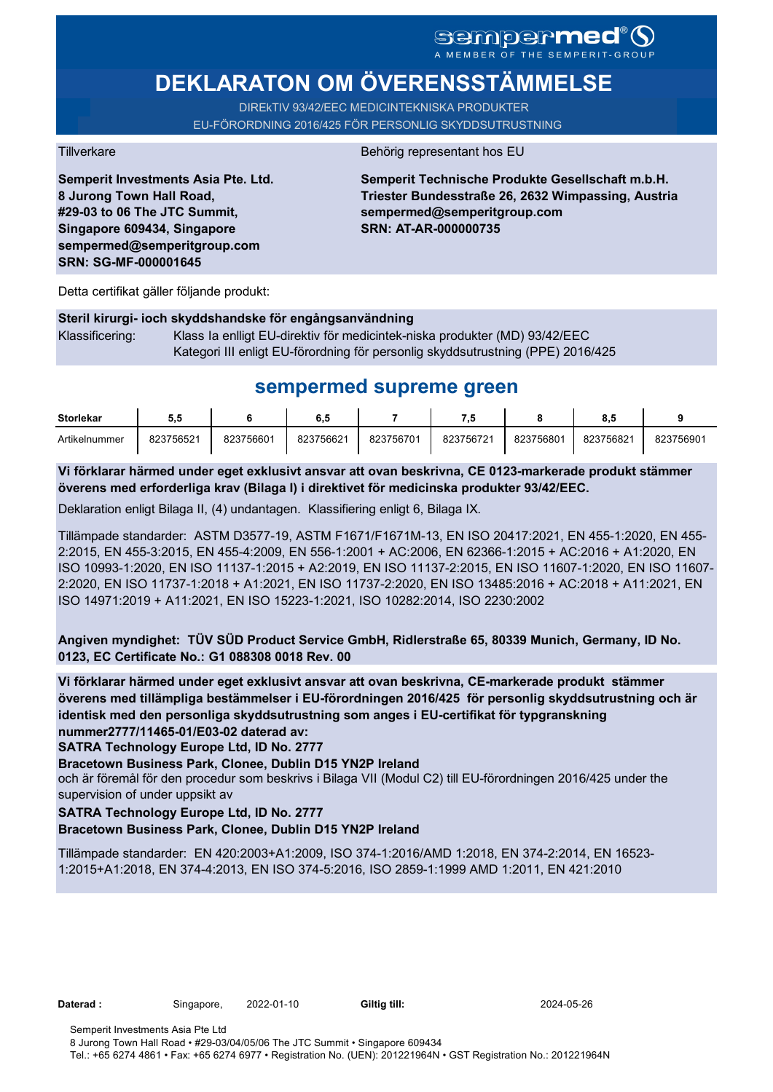# **DEKLARATON OM ÖVERENSSTÄMMELSE**

DIREkTIV 93/42/EEC MEDICINTEKNISKA PRODUKTER EU-FÖRORDNING 2016/425 FÖR PERSONLIG SKYDDSUTRUSTNING

**Semperit Investments Asia Pte. Ltd. 8 Jurong Town Hall Road, #29-03 to 06 The JTC Summit, Singapore 609434, Singapore sempermed@semperitgroup.com SRN: SG-MF-000001645**

#### Tillverkare Behörig representant hos EU

**Semperit Technische Produkte Gesellschaft m.b.H. Triester Bundesstraße 26, 2632 Wimpassing, Austria sempermed@semperitgroup.com SRN: AT-AR-000000735**

Detta certifikat gäller följande produkt:

### **Steril kirurgi- ioch skyddshandske för engångsanvändning**  Klassificering: Klass Ia enlligt EU-direktiv för medicintek-niska produkter (MD) 93/42/EEC Kategori III enligt EU-förordning för personlig skyddsutrustning (PPE) 2016/425

## **sempermed supreme green**

| <b>Storlekar</b> | J.J       |           | 6.5       |           |           |           | o.c       |           |
|------------------|-----------|-----------|-----------|-----------|-----------|-----------|-----------|-----------|
| Artikelnummer    | 823756521 | 823756601 | 823756621 | 823756701 | 823756721 | 823756801 | 823756821 | 823756901 |

**Vi förklarar härmed under eget exklusivt ansvar att ovan beskrivna, CE 0123-markerade produkt stämmer överens med erforderliga krav (Bilaga I) i direktivet för medicinska produkter 93/42/EEC.**

Deklaration enligt Bilaga II, (4) undantagen. Klassifiering enligt 6, Bilaga IX.

Tillämpade standarder: ASTM D3577-19, ASTM F1671/F1671M-13, EN ISO 20417:2021, EN 455-1:2020, EN 455- 2:2015, EN 455-3:2015, EN 455-4:2009, EN 556-1:2001 + AC:2006, EN 62366-1:2015 + AC:2016 + A1:2020, EN ISO 10993-1:2020, EN ISO 11137-1:2015 + A2:2019, EN ISO 11137-2:2015, EN ISO 11607-1:2020, EN ISO 11607- 2:2020, EN ISO 11737-1:2018 + A1:2021, EN ISO 11737-2:2020, EN ISO 13485:2016 + AC:2018 + A11:2021, EN ISO 14971:2019 + A11:2021, EN ISO 15223-1:2021, ISO 10282:2014, ISO 2230:2002

**Angiven myndighet: TÜV SÜD Product Service GmbH, Ridlerstraße 65, 80339 Munich, Germany, ID No. 0123, EC Certificate No.: G1 088308 0018 Rev. 00** 

**Vi förklarar härmed under eget exklusivt ansvar att ovan beskrivna, CE-markerade produkt stämmer överens med tillämpliga bestämmelser i EU-förordningen 2016/425 för personlig skyddsutrustning och är identisk med den personliga skyddsutrustning som anges i EU-certifikat för typgranskning nummer2777/11465-01/E03-02 daterad av:**

**SATRA Technology Europe Ltd, ID No. 2777**

**Bracetown Business Park, Clonee, Dublin D15 YN2P Ireland**

och är föremål för den procedur som beskrivs i Bilaga VII (Modul C2) till EU-förordningen 2016/425 under the supervision of under uppsikt av

### **SATRA Technology Europe Ltd, ID No. 2777**

### **Bracetown Business Park, Clonee, Dublin D15 YN2P Ireland**

Tillämpade standarder: EN 420:2003+A1:2009, ISO 374-1:2016/AMD 1:2018, EN 374-2:2014, EN 16523- 1:2015+A1:2018, EN 374-4:2013, EN ISO 374-5:2016, ISO 2859-1:1999 AMD 1:2011, EN 421:2010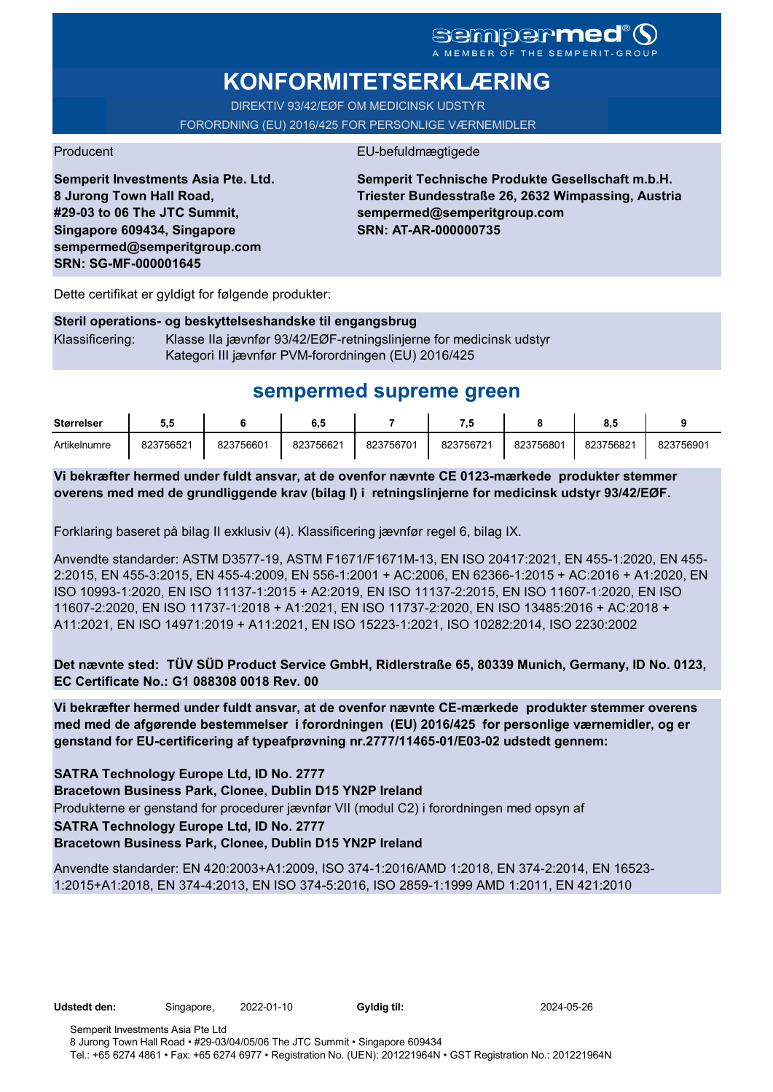# **KONFORMITETSERKLÆRING**

DIREKTIV 93/42/EØF OM MEDICINSK UDSTYR FORORDNING (EU) 2016/425 FOR PERSONLIGE VÆRNEMIDLER

### Producent EU-befuldmægtigede

**Semperit Investments Asia Pte. Ltd. 8 Jurong Town Hall Road, #29-03 to 06 The JTC Summit, Singapore 609434, Singapore sempermed@semperitgroup.com SRN: SG-MF-000001645**

**Semperit Technische Produkte Gesellschaft m.b.H. Triester Bundesstraße 26, 2632 Wimpassing, Austria sempermed@semperitgroup.com SRN: AT-AR-000000735**

Dette certifikat er gyldigt for følgende produkter:

### **Steril operations- og beskyttelseshandske til engangsbrug** Klassificering: Klasse IIa jævnfør 93/42/EØF-retningslinjerne for medicinsk udstyr Kategori III jævnfør PVM-forordningen (EU) 2016/425

# **sempermed supreme green**

| <b>Størrelser</b> | J.J       |           | ხ. ე      |           |           |           | о         |           |
|-------------------|-----------|-----------|-----------|-----------|-----------|-----------|-----------|-----------|
| Artikelnumre      | 823756521 | 823756601 | 823756621 | 823756701 | 823756721 | 823756801 | 823756821 | 823756901 |

**Vi bekræfter hermed under fuldt ansvar, at de ovenfor nævnte CE 0123-mærkede produkter stemmer overens med med de grundliggende krav (bilag I) i retningslinjerne for medicinsk udstyr 93/42/EØF.**

Forklaring baseret på bilag II exklusiv (4). Klassificering jævnfør regel 6, bilag IX.

Anvendte standarder: ASTM D3577-19, ASTM F1671/F1671M-13, EN ISO 20417:2021, EN 455-1:2020, EN 455- 2:2015, EN 455-3:2015, EN 455-4:2009, EN 556-1:2001 + AC:2006, EN 62366-1:2015 + AC:2016 + A1:2020, EN ISO 10993-1:2020, EN ISO 11137-1:2015 + A2:2019, EN ISO 11137-2:2015, EN ISO 11607-1:2020, EN ISO 11607-2:2020, EN ISO 11737-1:2018 + A1:2021, EN ISO 11737-2:2020, EN ISO 13485:2016 + AC:2018 + A11:2021, EN ISO 14971:2019 + A11:2021, EN ISO 15223-1:2021, ISO 10282:2014, ISO 2230:2002

**Det nævnte sted: TÜV SÜD Product Service GmbH, Ridlerstraße 65, 80339 Munich, Germany, ID No. 0123, EC Certificate No.: G1 088308 0018 Rev. 00** 

**Vi bekræfter hermed under fuldt ansvar, at de ovenfor nævnte CE-mærkede produkter stemmer overens med med de afgørende bestemmelser i forordningen (EU) 2016/425 for personlige værnemidler, og er genstand for EU-certificering af typeafprøvning nr.2777/11465-01/E03-02 udstedt gennem:**

### **SATRA Technology Europe Ltd, ID No. 2777**

**Bracetown Business Park, Clonee, Dublin D15 YN2P Ireland**

Produkterne er genstand for procedurer jævnfør VII (modul C2) i forordningen med opsyn af

#### **SATRA Technology Europe Ltd, ID No. 2777**

**Bracetown Business Park, Clonee, Dublin D15 YN2P Ireland**

Anvendte standarder: EN 420:2003+A1:2009, ISO 374-1:2016/AMD 1:2018, EN 374-2:2014, EN 16523- 1:2015+A1:2018, EN 374-4:2013, EN ISO 374-5:2016, ISO 2859-1:1999 AMD 1:2011, EN 421:2010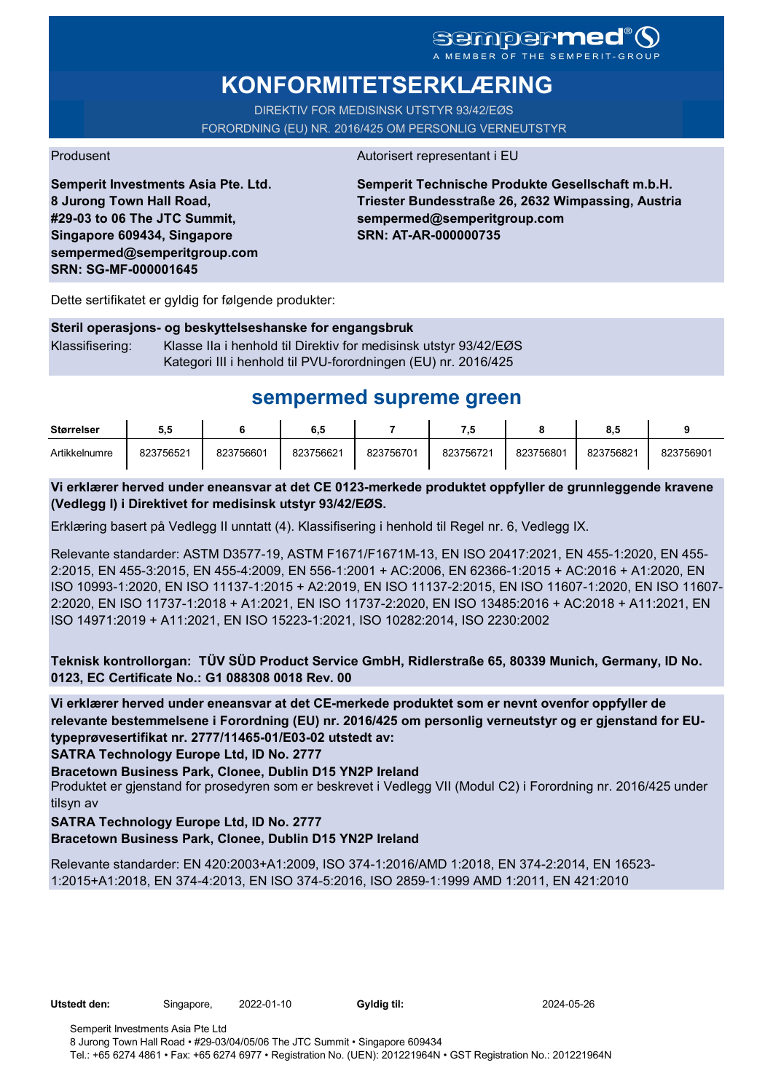# **KONFORMITETSERKLÆRING**

DIREKTIV FOR MEDISINSK UTSTYR 93/42/EØS FORORDNING (EU) NR. 2016/425 OM PERSONLIG VERNEUTSTYR

#### Produsent Autorisert representant i EU

**Semperit Investments Asia Pte. Ltd. 8 Jurong Town Hall Road, #29-03 to 06 The JTC Summit, Singapore 609434, Singapore sempermed@semperitgroup.com SRN: SG-MF-000001645**

**Semperit Technische Produkte Gesellschaft m.b.H. Triester Bundesstraße 26, 2632 Wimpassing, Austria sempermed@semperitgroup.com SRN: AT-AR-000000735**

Dette sertifikatet er gyldig for følgende produkter:

#### **Steril operasjons- og beskyttelseshanske for engangsbruk**

Klassifisering: Klasse IIa i henhold til Direktiv for medisinsk utstyr 93/42/EØS Kategori III i henhold til PVU-forordningen (EU) nr. 2016/425

## **sempermed supreme green**

| <b>Størrelser</b> | ວ.ວ       |           | 6.5       |           | - 7       |           | o.c       |           |
|-------------------|-----------|-----------|-----------|-----------|-----------|-----------|-----------|-----------|
| Artikkelnumre     | 823756521 | 823756601 | 823756621 | 823756701 | 823756721 | 823756801 | 823756821 | 823756901 |

#### **Vi erklærer herved under eneansvar at det CE 0123-merkede produktet oppfyller de grunnleggende kravene (Vedlegg I) i Direktivet for medisinsk utstyr 93/42/EØS.**

Erklæring basert på Vedlegg II unntatt (4). Klassifisering i henhold til Regel nr. 6, Vedlegg IX.

Relevante standarder: ASTM D3577-19, ASTM F1671/F1671M-13, EN ISO 20417:2021, EN 455-1:2020, EN 455- 2:2015, EN 455-3:2015, EN 455-4:2009, EN 556-1:2001 + AC:2006, EN 62366-1:2015 + AC:2016 + A1:2020, EN ISO 10993-1:2020, EN ISO 11137-1:2015 + A2:2019, EN ISO 11137-2:2015, EN ISO 11607-1:2020, EN ISO 11607- 2:2020, EN ISO 11737-1:2018 + A1:2021, EN ISO 11737-2:2020, EN ISO 13485:2016 + AC:2018 + A11:2021, EN ISO 14971:2019 + A11:2021, EN ISO 15223-1:2021, ISO 10282:2014, ISO 2230:2002

**Teknisk kontrollorgan: TÜV SÜD Product Service GmbH, Ridlerstraße 65, 80339 Munich, Germany, ID No. 0123, EC Certificate No.: G1 088308 0018 Rev. 00** 

**Vi erklærer herved under eneansvar at det CE-merkede produktet som er nevnt ovenfor oppfyller de relevante bestemmelsene i Forordning (EU) nr. 2016/425 om personlig verneutstyr og er gjenstand for EUtypeprøvesertifikat nr. 2777/11465-01/E03-02 utstedt av:**

**SATRA Technology Europe Ltd, ID No. 2777**

**Bracetown Business Park, Clonee, Dublin D15 YN2P Ireland**

Produktet er gjenstand for prosedyren som er beskrevet i Vedlegg VII (Modul C2) i Forordning nr. 2016/425 under tilsyn av

#### **SATRA Technology Europe Ltd, ID No. 2777**

**Bracetown Business Park, Clonee, Dublin D15 YN2P Ireland**

Relevante standarder: EN 420:2003+A1:2009, ISO 374-1:2016/AMD 1:2018, EN 374-2:2014, EN 16523- 1:2015+A1:2018, EN 374-4:2013, EN ISO 374-5:2016, ISO 2859-1:1999 AMD 1:2011, EN 421:2010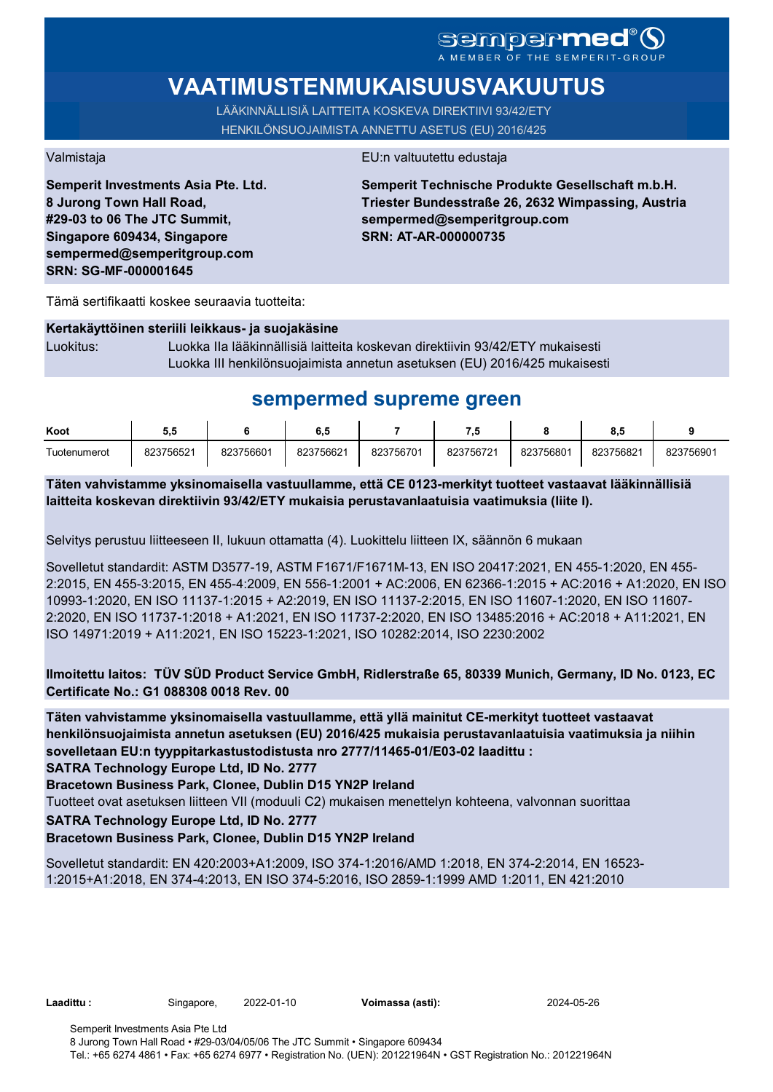# SCMDOCPMCO

# **VAATIMUSTENMUKAISUUSVAKUUTUS**

LÄÄKINNÄLLISIÄ LAITTEITA KOSKEVA DIREKTIIVI 93/42/ETY HENKILÖNSUOJAIMISTA ANNETTU ASETUS (EU) 2016/425

**Semperit Investments Asia Pte. Ltd. 8 Jurong Town Hall Road, #29-03 to 06 The JTC Summit, Singapore 609434, Singapore sempermed@semperitgroup.com SRN: SG-MF-000001645**

#### Valmistaja EU:n valtuutettu edustaja

**Semperit Technische Produkte Gesellschaft m.b.H. Triester Bundesstraße 26, 2632 Wimpassing, Austria sempermed@semperitgroup.com SRN: AT-AR-000000735**

Tämä sertifikaatti koskee seuraavia tuotteita:

#### **Kertakäyttöinen steriili leikkaus- ja suojakäsine**

Luokitus: Luokka IIa lääkinnällisiä laitteita koskevan direktiivin 93/42/ETY mukaisesti Luokka III henkilönsuojaimista annetun asetuksen (EU) 2016/425 mukaisesti

## **sempermed supreme green**

| Koot         | J.v       |           | ο         |           | - 7       |           | ο         |           |
|--------------|-----------|-----------|-----------|-----------|-----------|-----------|-----------|-----------|
| Tuotenumerot | 823756521 | 823756601 | 823756621 | 823756701 | 823756721 | 823756801 | 823756821 | 823756901 |

**Täten vahvistamme yksinomaisella vastuullamme, että CE 0123-merkityt tuotteet vastaavat lääkinnällisiä laitteita koskevan direktiivin 93/42/ETY mukaisia perustavanlaatuisia vaatimuksia (liite I).**

Selvitys perustuu liitteeseen II, lukuun ottamatta (4). Luokittelu liitteen IX, säännön 6 mukaan

Sovelletut standardit: ASTM D3577-19, ASTM F1671/F1671M-13, EN ISO 20417:2021, EN 455-1:2020, EN 455- 2:2015, EN 455-3:2015, EN 455-4:2009, EN 556-1:2001 + AC:2006, EN 62366-1:2015 + AC:2016 + A1:2020, EN ISO 10993-1:2020, EN ISO 11137-1:2015 + A2:2019, EN ISO 11137-2:2015, EN ISO 11607-1:2020, EN ISO 11607- 2:2020, EN ISO 11737-1:2018 + A1:2021, EN ISO 11737-2:2020, EN ISO 13485:2016 + AC:2018 + A11:2021, EN ISO 14971:2019 + A11:2021, EN ISO 15223-1:2021, ISO 10282:2014, ISO 2230:2002

### **Ilmoitettu laitos: TÜV SÜD Product Service GmbH, Ridlerstraße 65, 80339 Munich, Germany, ID No. 0123, EC Certificate No.: G1 088308 0018 Rev. 00**

**Täten vahvistamme yksinomaisella vastuullamme, että yllä mainitut CE-merkityt tuotteet vastaavat henkilönsuojaimista annetun asetuksen (EU) 2016/425 mukaisia perustavanlaatuisia vaatimuksia ja niihin sovelletaan EU:n tyyppitarkastustodistusta nro 2777/11465-01/E03-02 laadittu :**

**SATRA Technology Europe Ltd, ID No. 2777**

**Bracetown Business Park, Clonee, Dublin D15 YN2P Ireland**

Tuotteet ovat asetuksen liitteen VII (moduuli C2) mukaisen menettelyn kohteena, valvonnan suorittaa

**SATRA Technology Europe Ltd, ID No. 2777**

#### **Bracetown Business Park, Clonee, Dublin D15 YN2P Ireland**

Sovelletut standardit: EN 420:2003+A1:2009, ISO 374-1:2016/AMD 1:2018, EN 374-2:2014, EN 16523- 1:2015+A1:2018, EN 374-4:2013, EN ISO 374-5:2016, ISO 2859-1:1999 AMD 1:2011, EN 421:2010

**Laadittu :** Singapore, 2022-01-10 **Voimassa (asti):** 2024-05-26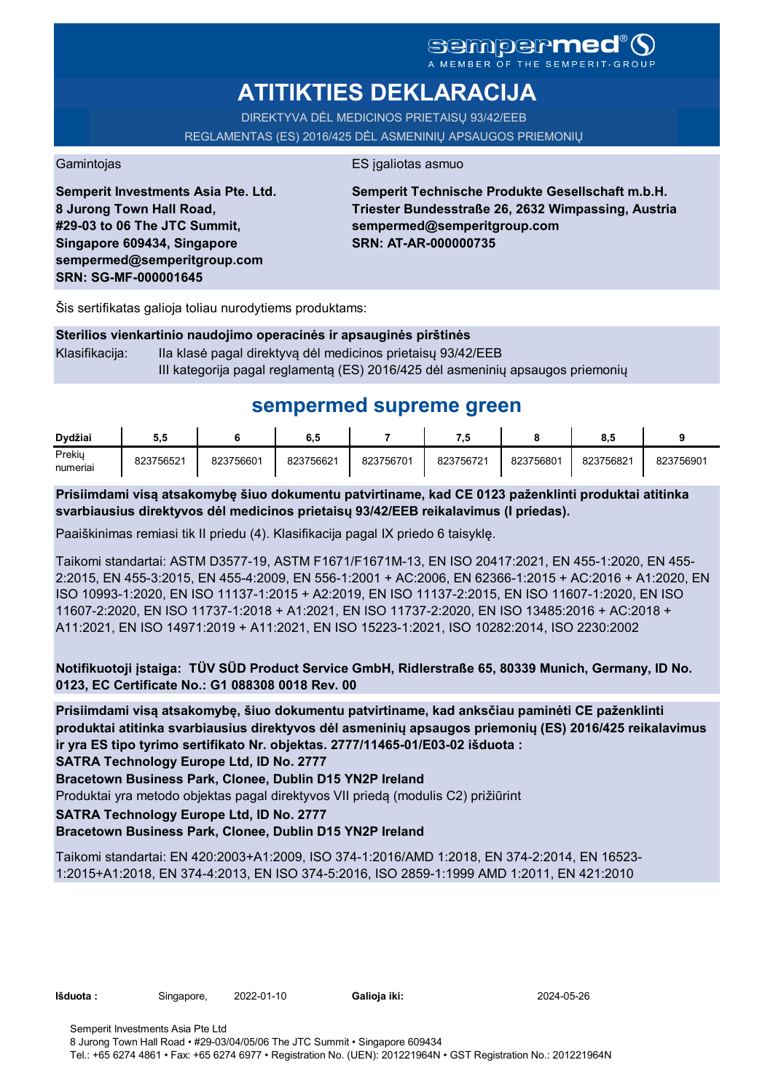# **ATITIKTIES DEKLARACIJA**

DIREKTYVA DĖL MEDICINOS PRIETAISŲ 93/42/EEB REGLAMENTAS (ES) 2016/425 DĖL ASMENINIŲ APSAUGOS PRIEMONIŲ

Gamintojas **ES** įgaliotas asmuo

**Semperit Investments Asia Pte. Ltd. 8 Jurong Town Hall Road, #29-03 to 06 The JTC Summit, Singapore 609434, Singapore sempermed@semperitgroup.com SRN: SG-MF-000001645**

**Semperit Technische Produkte Gesellschaft m.b.H. Triester Bundesstraße 26, 2632 Wimpassing, Austria sempermed@semperitgroup.com SRN: AT-AR-000000735**

Šis sertifikatas galioja toliau nurodytiems produktams:

|                | Sterilios vienkartinio naudojimo operacinės ir apsauginės pirštinės            |
|----------------|--------------------------------------------------------------------------------|
| Klasifikacija: | Ila klasė pagal direktyvą dėl medicinos prietaisų 93/42/EEB                    |
|                | III kategorija pagal reglamentą (ES) 2016/425 dėl asmeninių apsaugos priemonių |

# **sempermed supreme green**

| Dvdžiai            | 5.5       |           | 6.5       |           | 7.5       |           | o<br>o.a  |           |
|--------------------|-----------|-----------|-----------|-----------|-----------|-----------|-----------|-----------|
| Prekiy<br>numeriai | 823756521 | 823756601 | 823756621 | 823756701 | 823756721 | 823756801 | 823756821 | 823756901 |

**Prisiimdami visą atsakomybę šiuo dokumentu patvirtiname, kad CE 0123 paženklinti produktai atitinka svarbiausius direktyvos dėl medicinos prietaisų 93/42/EEB reikalavimus (I priedas).**

Paaiškinimas remiasi tik II priedu (4). Klasifikacija pagal IX priedo 6 taisyklę.

Taikomi standartai: ASTM D3577-19, ASTM F1671/F1671M-13, EN ISO 20417:2021, EN 455-1:2020, EN 455- 2:2015, EN 455-3:2015, EN 455-4:2009, EN 556-1:2001 + AC:2006, EN 62366-1:2015 + AC:2016 + A1:2020, EN ISO 10993-1:2020, EN ISO 11137-1:2015 + A2:2019, EN ISO 11137-2:2015, EN ISO 11607-1:2020, EN ISO 11607-2:2020, EN ISO 11737-1:2018 + A1:2021, EN ISO 11737-2:2020, EN ISO 13485:2016 + AC:2018 + A11:2021, EN ISO 14971:2019 + A11:2021, EN ISO 15223-1:2021, ISO 10282:2014, ISO 2230:2002

**Notifikuotoji įstaiga: TÜV SÜD Product Service GmbH, Ridlerstraße 65, 80339 Munich, Germany, ID No. 0123, EC Certificate No.: G1 088308 0018 Rev. 00** 

**Prisiimdami visą atsakomybę, šiuo dokumentu patvirtiname, kad anksčiau paminėti CE paženklinti produktai atitinka svarbiausius direktyvos dėl asmeninių apsaugos priemonių (ES) 2016/425 reikalavimus ir yra ES tipo tyrimo sertifikato Nr. objektas. 2777/11465-01/E03-02 išduota :**

**SATRA Technology Europe Ltd, ID No. 2777**

**Bracetown Business Park, Clonee, Dublin D15 YN2P Ireland**

Produktai yra metodo objektas pagal direktyvos VII priedą (modulis C2) prižiūrint

**SATRA Technology Europe Ltd, ID No. 2777**

### **Bracetown Business Park, Clonee, Dublin D15 YN2P Ireland**

Taikomi standartai: EN 420:2003+A1:2009, ISO 374-1:2016/AMD 1:2018, EN 374-2:2014, EN 16523- 1:2015+A1:2018, EN 374-4:2013, EN ISO 374-5:2016, ISO 2859-1:1999 AMD 1:2011, EN 421:2010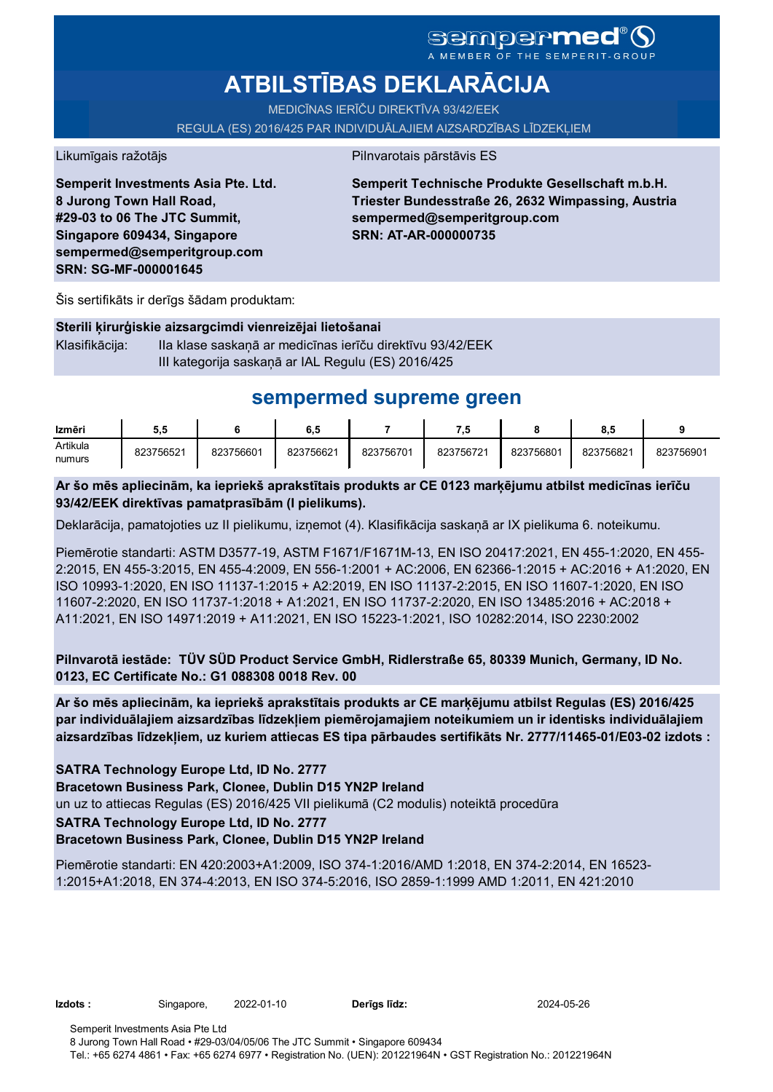# **ATBILSTĪBAS DEKLARĀCIJA**

MEDICĪNAS IERĪČU DIREKTĪVA 93/42/EEK

REGULA (ES) 2016/425 PAR INDIVIDUĀLAJIEM AIZSARDZĪBAS LĪDZEKĻIEM

Likumīgais ražotājs **Pilnvarotais pārstāvis ES** 

**Semperit Investments Asia Pte. Ltd. 8 Jurong Town Hall Road, #29-03 to 06 The JTC Summit, Singapore 609434, Singapore sempermed@semperitgroup.com SRN: SG-MF-000001645**

**Semperit Technische Produkte Gesellschaft m.b.H. Triester Bundesstraße 26, 2632 Wimpassing, Austria sempermed@semperitgroup.com SRN: AT-AR-000000735**

Šis sertifikāts ir derīgs šādam produktam:

#### **Sterili ķirurģiskie aizsargcimdi vienreizējai lietošanai**

Klasifikācija: IIa klase saskaņā ar medicīnas ierīču direktīvu 93/42/EEK III kategorija saskaņā ar IAL Regulu (ES) 2016/425

## **sempermed supreme green**

| Izmēri   | 5.5       |           | ο. c      |           | 7.L       |           | $\bullet$<br>o.a |           |
|----------|-----------|-----------|-----------|-----------|-----------|-----------|------------------|-----------|
| Artikula | 823756521 | 823756601 | 823756621 | 823756701 | 823756721 | 823756801 | 823756821        | 823756901 |
| numurs   |           |           |           |           |           |           |                  |           |

**Ar šo mēs apliecinām, ka iepriekš aprakstītais produkts ar CE 0123 marķējumu atbilst medicīnas ierīču 93/42/EEK direktīvas pamatprasībām (I pielikums).**

Deklarācija, pamatojoties uz II pielikumu, izņemot (4). Klasifikācija saskaņā ar IX pielikuma 6. noteikumu.

Piemērotie standarti: ASTM D3577-19, ASTM F1671/F1671M-13, EN ISO 20417:2021, EN 455-1:2020, EN 455- 2:2015, EN 455-3:2015, EN 455-4:2009, EN 556-1:2001 + AC:2006, EN 62366-1:2015 + AC:2016 + A1:2020, EN ISO 10993-1:2020, EN ISO 11137-1:2015 + A2:2019, EN ISO 11137-2:2015, EN ISO 11607-1:2020, EN ISO 11607-2:2020, EN ISO 11737-1:2018 + A1:2021, EN ISO 11737-2:2020, EN ISO 13485:2016 + AC:2018 + A11:2021, EN ISO 14971:2019 + A11:2021, EN ISO 15223-1:2021, ISO 10282:2014, ISO 2230:2002

**Pilnvarotā iestāde: TÜV SÜD Product Service GmbH, Ridlerstraße 65, 80339 Munich, Germany, ID No. 0123, EC Certificate No.: G1 088308 0018 Rev. 00** 

**Ar šo mēs apliecinām, ka iepriekš aprakstītais produkts ar CE marķējumu atbilst Regulas (ES) 2016/425 par individuālajiem aizsardzības līdzekļiem piemērojamajiem noteikumiem un ir identisks individuālajiem aizsardzības līdzekļiem, uz kuriem attiecas ES tipa pārbaudes sertifikāts Nr. 2777/11465-01/E03-02 izdots :**

**SATRA Technology Europe Ltd, ID No. 2777**

**Bracetown Business Park, Clonee, Dublin D15 YN2P Ireland**

un uz to attiecas Regulas (ES) 2016/425 VII pielikumā (C2 modulis) noteiktā procedūra

#### **SATRA Technology Europe Ltd, ID No. 2777**

#### **Bracetown Business Park, Clonee, Dublin D15 YN2P Ireland**

Piemērotie standarti: EN 420:2003+A1:2009, ISO 374-1:2016/AMD 1:2018, EN 374-2:2014, EN 16523- 1:2015+A1:2018, EN 374-4:2013, EN ISO 374-5:2016, ISO 2859-1:1999 AMD 1:2011, EN 421:2010

**Izdots :** Singapore, 2022-01-10 **Derīgs līdz:** 2024-05-26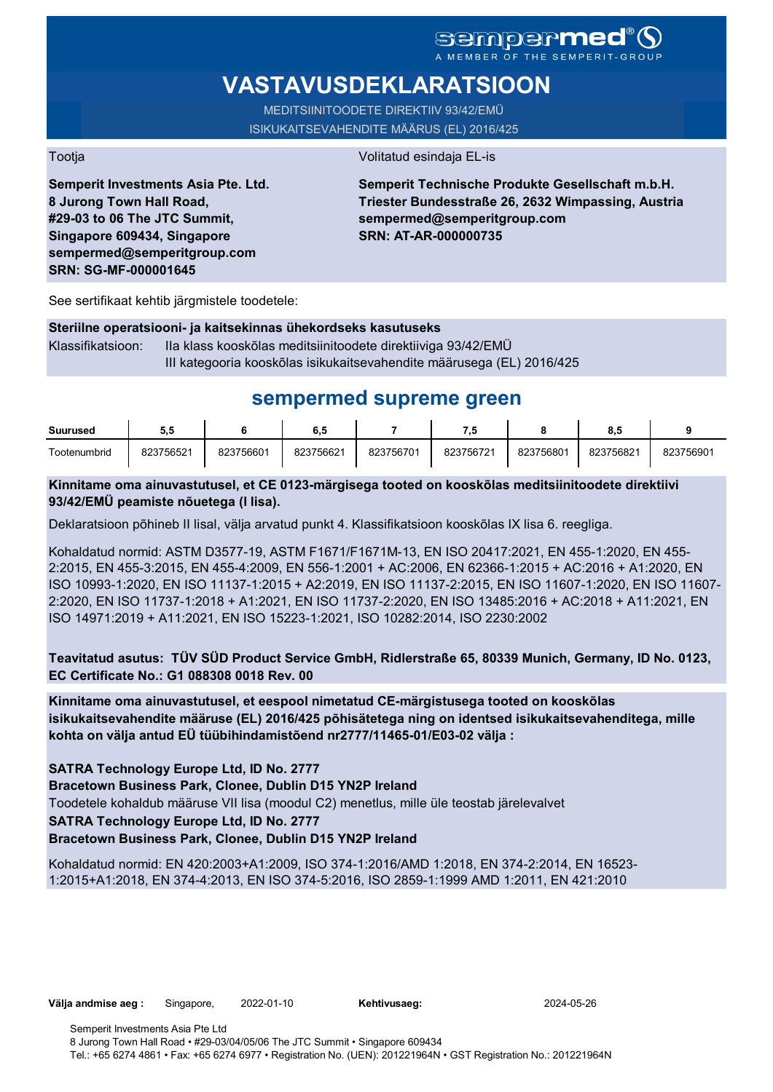# **VASTAVUSDEKLARATSIOON**

MEDITSIINITOODETE DIREKTIIV 93/42/EMÜ ISIKUKAITSEVAHENDITE MÄÄRUS (EL) 2016/425

Tootja Volitatud esindaja EL-is

**Semperit Investments Asia Pte. Ltd. 8 Jurong Town Hall Road, #29-03 to 06 The JTC Summit, Singapore 609434, Singapore sempermed@semperitgroup.com SRN: SG-MF-000001645**

**Semperit Technische Produkte Gesellschaft m.b.H. Triester Bundesstraße 26, 2632 Wimpassing, Austria sempermed@semperitgroup.com SRN: AT-AR-000000735**

See sertifikaat kehtib järgmistele toodetele:

#### **Steriilne operatsiooni- ja kaitsekinnas ühekordseks kasutuseks**

Klassifikatsioon: IIa klass kooskõlas meditsiinitoodete direktiiviga 93/42/EMÜ III kategooria kooskõlas isikukaitsevahendite määrusega (EL) 2016/425

# **sempermed supreme green**

| <b>Suurused</b> | ວ.ວ       |           | 6,5       |           | $\cdot$   |           | o.a       |           |
|-----------------|-----------|-----------|-----------|-----------|-----------|-----------|-----------|-----------|
| Tootenumbrid    | 823756521 | 823756601 | 823756621 | 823756701 | 823756721 | 823756801 | 823756821 | 823756901 |

### **Kinnitame oma ainuvastutusel, et CE 0123-märgisega tooted on kooskõlas meditsiinitoodete direktiivi 93/42/EMÜ peamiste nõuetega (I lisa).**

Deklaratsioon põhineb II lisal, välja arvatud punkt 4. Klassifikatsioon kooskõlas IX lisa 6. reegliga.

Kohaldatud normid: ASTM D3577-19, ASTM F1671/F1671M-13, EN ISO 20417:2021, EN 455-1:2020, EN 455- 2:2015, EN 455-3:2015, EN 455-4:2009, EN 556-1:2001 + AC:2006, EN 62366-1:2015 + AC:2016 + A1:2020, EN ISO 10993-1:2020, EN ISO 11137-1:2015 + A2:2019, EN ISO 11137-2:2015, EN ISO 11607-1:2020, EN ISO 11607- 2:2020, EN ISO 11737-1:2018 + A1:2021, EN ISO 11737-2:2020, EN ISO 13485:2016 + AC:2018 + A11:2021, EN ISO 14971:2019 + A11:2021, EN ISO 15223-1:2021, ISO 10282:2014, ISO 2230:2002

**Teavitatud asutus: TÜV SÜD Product Service GmbH, Ridlerstraße 65, 80339 Munich, Germany, ID No. 0123, EC Certificate No.: G1 088308 0018 Rev. 00** 

**Kinnitame oma ainuvastutusel, et eespool nimetatud CE-märgistusega tooted on kooskõlas isikukaitsevahendite määruse (EL) 2016/425 põhisätetega ning on identsed isikukaitsevahenditega, mille kohta on välja antud EÜ tüübihindamistõend nr2777/11465-01/E03-02 välja :**

**SATRA Technology Europe Ltd, ID No. 2777**

**Bracetown Business Park, Clonee, Dublin D15 YN2P Ireland**

Toodetele kohaldub määruse VII lisa (moodul C2) menetlus, mille üle teostab järelevalvet

**SATRA Technology Europe Ltd, ID No. 2777**

### **Bracetown Business Park, Clonee, Dublin D15 YN2P Ireland**

Kohaldatud normid: EN 420:2003+A1:2009, ISO 374-1:2016/AMD 1:2018, EN 374-2:2014, EN 16523- 1:2015+A1:2018, EN 374-4:2013, EN ISO 374-5:2016, ISO 2859-1:1999 AMD 1:2011, EN 421:2010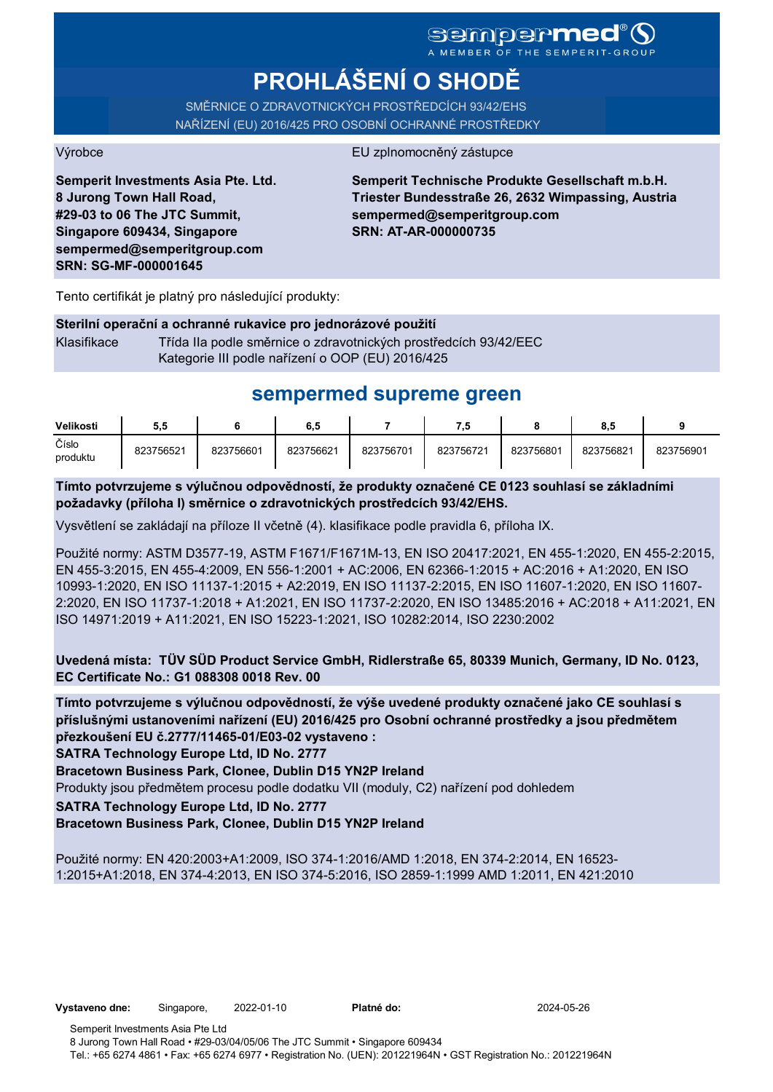# **PROHLÁŠENÍ O SHODĚ**

SMĚRNICE O ZDRAVOTNICKÝCH PROSTŘEDCÍCH 93/42/EHS NAŘÍZENÍ (EU) 2016/425 PRO OSOBNÍ OCHRANNÉ PROSTŘEDKY

#### Výrobce EU zplnomocněný zástupce

**Semperit Investments Asia Pte. Ltd. 8 Jurong Town Hall Road, #29-03 to 06 The JTC Summit, Singapore 609434, Singapore sempermed@semperitgroup.com SRN: SG-MF-000001645**

**Semperit Technische Produkte Gesellschaft m.b.H. Triester Bundesstraße 26, 2632 Wimpassing, Austria sempermed@semperitgroup.com SRN: AT-AR-000000735**

Tento certifikát je platný pro následující produkty:

#### **Sterilní operační a ochranné rukavice pro jednorázové použití**

Klasifikace Třída IIa podle směrnice o zdravotnických prostředcích 93/42/EEC Kategorie III podle nařízení o OOP (EU) 2016/425

## **sempermed supreme green**

| Velikosti         | 5.5       |           | 6.5       |           | 7.5       |           | 8.5       |           |
|-------------------|-----------|-----------|-----------|-----------|-----------|-----------|-----------|-----------|
| Číslo<br>produktu | 823756521 | 823756601 | 823756621 | 823756701 | 823756721 | 823756801 | 823756821 | 823756901 |

**Tímto potvrzujeme s výlučnou odpovědností, že produkty označené CE 0123 souhlasí se základními požadavky (příloha I) směrnice o zdravotnických prostředcích 93/42/EHS.**

Vysvětlení se zakládají na příloze II včetně (4). klasifikace podle pravidla 6, příloha IX.

Použité normy: ASTM D3577-19, ASTM F1671/F1671M-13, EN ISO 20417:2021, EN 455-1:2020, EN 455-2:2015, EN 455-3:2015, EN 455-4:2009, EN 556-1:2001 + AC:2006, EN 62366-1:2015 + AC:2016 + A1:2020, EN ISO 10993-1:2020, EN ISO 11137-1:2015 + A2:2019, EN ISO 11137-2:2015, EN ISO 11607-1:2020, EN ISO 11607- 2:2020, EN ISO 11737-1:2018 + A1:2021, EN ISO 11737-2:2020, EN ISO 13485:2016 + AC:2018 + A11:2021, EN ISO 14971:2019 + A11:2021, EN ISO 15223-1:2021, ISO 10282:2014, ISO 2230:2002

**Uvedená místa: TÜV SÜD Product Service GmbH, Ridlerstraße 65, 80339 Munich, Germany, ID No. 0123, EC Certificate No.: G1 088308 0018 Rev. 00** 

**Tímto potvrzujeme s výlučnou odpovědností, že výše uvedené produkty označené jako CE souhlasí s příslušnými ustanoveními nařízení (EU) 2016/425 pro Osobní ochranné prostředky a jsou předmětem přezkoušení EU č.2777/11465-01/E03-02 vystaveno :**

**SATRA Technology Europe Ltd, ID No. 2777**

**Bracetown Business Park, Clonee, Dublin D15 YN2P Ireland**

Produkty jsou předmětem procesu podle dodatku VII (moduly, C2) nařízení pod dohledem

**SATRA Technology Europe Ltd, ID No. 2777**

**Bracetown Business Park, Clonee, Dublin D15 YN2P Ireland**

Použité normy: EN 420:2003+A1:2009, ISO 374-1:2016/AMD 1:2018, EN 374-2:2014, EN 16523- 1:2015+A1:2018, EN 374-4:2013, EN ISO 374-5:2016, ISO 2859-1:1999 AMD 1:2011, EN 421:2010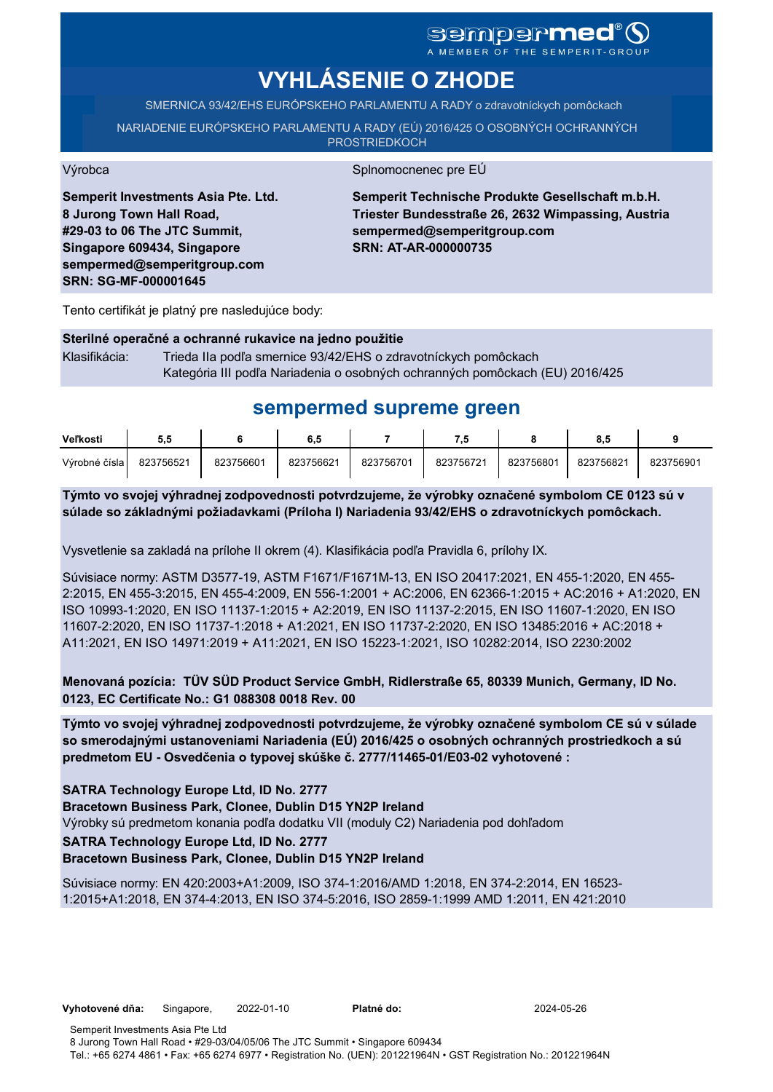# sempermed<sup>®</sup> Q

A MEMBER OF THE SEMPERIT-GROUP

# **VYHLÁSENIE O ZHODE**

SMERNICA 93/42/EHS EURÓPSKEHO PARLAMENTU A RADY o zdravotníckych pomôckach

NARIADENIE EURÓPSKEHO PARLAMENTU A RADY (EÚ) 2016/425 O OSOBNÝCH OCHRANNÝCH **PROSTRIEDKOCH** 

Výrobca Splnomocnenec pre EÚ

**Semperit Investments Asia Pte. Ltd. 8 Jurong Town Hall Road, #29-03 to 06 The JTC Summit, Singapore 609434, Singapore sempermed@semperitgroup.com SRN: SG-MF-000001645**

**Semperit Technische Produkte Gesellschaft m.b.H. Triester Bundesstraße 26, 2632 Wimpassing, Austria sempermed@semperitgroup.com SRN: AT-AR-000000735**

Tento certifikát je platný pre nasledujúce body:

#### **Sterilné operačné a ochranné rukavice na jedno použitie**

Klasifikácia: Trieda IIa podľa smernice 93/42/EHS o zdravotníckych pomôckach Kategória III podľa Nariadenia o osobných ochranných pomôckach (EU) 2016/425

## **sempermed supreme green**

| Veľkosti      | 5.5       |           | 6.5       |           | 7.5       |           |           |           |
|---------------|-----------|-----------|-----------|-----------|-----------|-----------|-----------|-----------|
| Výrobné čísla | 823756521 | 823756601 | 823756621 | 823756701 | 823756721 | 823756801 | 823756821 | 823756901 |

**Týmto vo svojej výhradnej zodpovednosti potvrdzujeme, že výrobky označené symbolom CE 0123 sú v súlade so základnými požiadavkami (Príloha I) Nariadenia 93/42/EHS o zdravotníckych pomôckach.**

Vysvetlenie sa zakladá na prílohe II okrem (4). Klasifikácia podľa Pravidla 6, prílohy IX.

Súvisiace normy: ASTM D3577-19, ASTM F1671/F1671M-13, EN ISO 20417:2021, EN 455-1:2020, EN 455- 2:2015, EN 455-3:2015, EN 455-4:2009, EN 556-1:2001 + AC:2006, EN 62366-1:2015 + AC:2016 + A1:2020, EN ISO 10993-1:2020, EN ISO 11137-1:2015 + A2:2019, EN ISO 11137-2:2015, EN ISO 11607-1:2020, EN ISO 11607-2:2020, EN ISO 11737-1:2018 + A1:2021, EN ISO 11737-2:2020, EN ISO 13485:2016 + AC:2018 + A11:2021, EN ISO 14971:2019 + A11:2021, EN ISO 15223-1:2021, ISO 10282:2014, ISO 2230:2002

**Menovaná pozícia: TÜV SÜD Product Service GmbH, Ridlerstraße 65, 80339 Munich, Germany, ID No. 0123, EC Certificate No.: G1 088308 0018 Rev. 00** 

**Týmto vo svojej výhradnej zodpovednosti potvrdzujeme, že výrobky označené symbolom CE sú v súlade so smerodajnými ustanoveniami Nariadenia (EÚ) 2016/425 o osobných ochranných prostriedkoch a sú predmetom EU - Osvedčenia o typovej skúške č. 2777/11465-01/E03-02 vyhotovené :**

**SATRA Technology Europe Ltd, ID No. 2777**

**Bracetown Business Park, Clonee, Dublin D15 YN2P Ireland**

Výrobky sú predmetom konania podľa dodatku VII (moduly C2) Nariadenia pod dohľadom

**SATRA Technology Europe Ltd, ID No. 2777**

#### **Bracetown Business Park, Clonee, Dublin D15 YN2P Ireland**

Súvisiace normy: EN 420:2003+A1:2009, ISO 374-1:2016/AMD 1:2018, EN 374-2:2014, EN 16523- 1:2015+A1:2018, EN 374-4:2013, EN ISO 374-5:2016, ISO 2859-1:1999 AMD 1:2011, EN 421:2010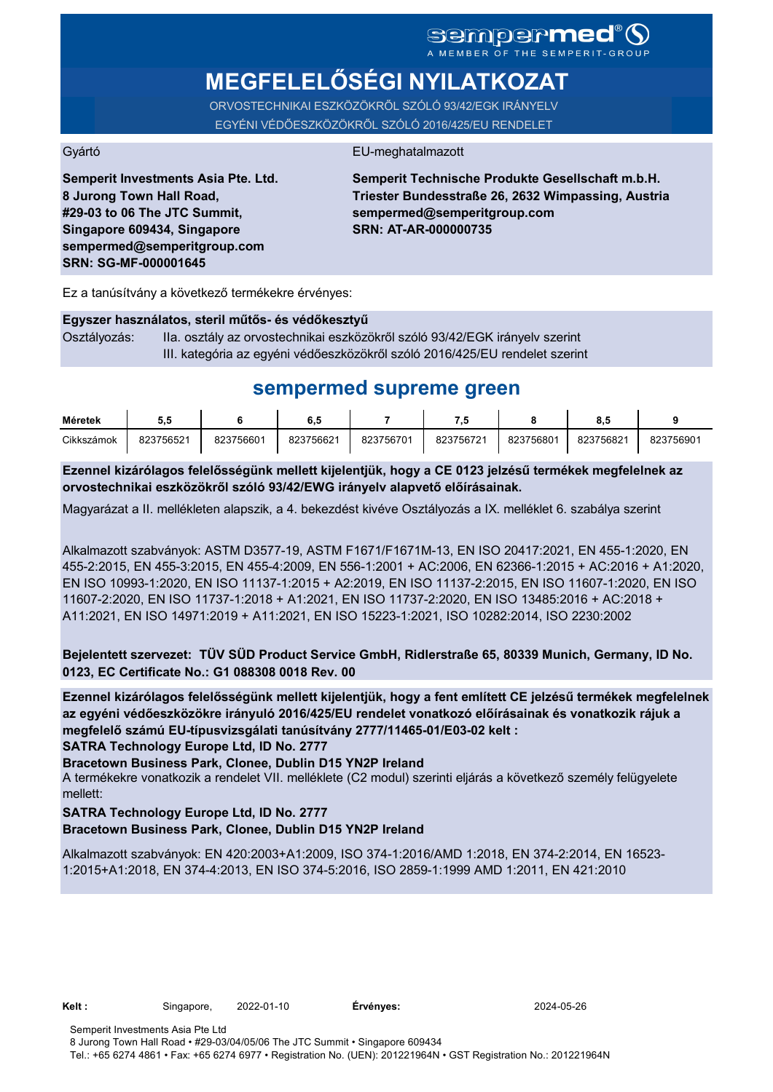# **MEGFELELŐSÉGI NYILATKOZAT**

ORVOSTECHNIKAI ESZKÖZÖKRŐL SZÓLÓ 93/42/EGK IRÁNYELV EGYÉNI VÉDŐESZKÖZÖKRŐL SZÓLÓ 2016/425/EU RENDELET

#### Gyártó EU-meghatalmazott

**Semperit Investments Asia Pte. Ltd. 8 Jurong Town Hall Road, #29-03 to 06 The JTC Summit, Singapore 609434, Singapore sempermed@semperitgroup.com SRN: SG-MF-000001645**

**Semperit Technische Produkte Gesellschaft m.b.H. Triester Bundesstraße 26, 2632 Wimpassing, Austria sempermed@semperitgroup.com SRN: AT-AR-000000735**

Ez a tanúsítvány a következő termékekre érvényes:

#### **Egyszer használatos, steril műtős- és védőkesztyű**

Osztályozás: IIa. osztály az orvostechnikai eszközökről szóló 93/42/EGK irányelv szerint III. kategória az egyéni védőeszközökről szóló 2016/425/EU rendelet szerint

## **sempermed supreme green**

| Méretek    | J.J       |           | 0.C       |           | .         |           |           |           |
|------------|-----------|-----------|-----------|-----------|-----------|-----------|-----------|-----------|
| Cikkszámok | 823756521 | 823756601 | 823756621 | 823756701 | 823756721 | 823756801 | 823756821 | 823756901 |

**Ezennel kizárólagos felelősségünk mellett kijelentjük, hogy a CE 0123 jelzésű termékek megfelelnek az orvostechnikai eszközökről szóló 93/42/EWG irányelv alapvető előírásainak.**

Magyarázat a II. mellékleten alapszik, a 4. bekezdést kivéve Osztályozás a IX. melléklet 6. szabálya szerint

Alkalmazott szabványok: ASTM D3577-19, ASTM F1671/F1671M-13, EN ISO 20417:2021, EN 455-1:2020, EN 455-2:2015, EN 455-3:2015, EN 455-4:2009, EN 556-1:2001 + AC:2006, EN 62366-1:2015 + AC:2016 + A1:2020, EN ISO 10993-1:2020, EN ISO 11137-1:2015 + A2:2019, EN ISO 11137-2:2015, EN ISO 11607-1:2020, EN ISO 11607-2:2020, EN ISO 11737-1:2018 + A1:2021, EN ISO 11737-2:2020, EN ISO 13485:2016 + AC:2018 + A11:2021, EN ISO 14971:2019 + A11:2021, EN ISO 15223-1:2021, ISO 10282:2014, ISO 2230:2002

**Bejelentett szervezet: TÜV SÜD Product Service GmbH, Ridlerstraße 65, 80339 Munich, Germany, ID No. 0123, EC Certificate No.: G1 088308 0018 Rev. 00** 

**SATRA Technology Europe Ltd, ID No. 2777 Ezennel kizárólagos felelősségünk mellett kijelentjük, hogy a fent említett CE jelzésű termékek megfelelnek az egyéni védőeszközökre irányuló 2016/425/EU rendelet vonatkozó előírásainak és vonatkozik rájuk a megfelelő számú EU-típusvizsgálati tanúsítvány 2777/11465-01/E03-02 kelt :**

**Bracetown Business Park, Clonee, Dublin D15 YN2P Ireland**

A termékekre vonatkozik a rendelet VII. melléklete (C2 modul) szerinti eljárás a következő személy felügyelete mellett:

#### **SATRA Technology Europe Ltd, ID No. 2777**

#### **Bracetown Business Park, Clonee, Dublin D15 YN2P Ireland**

Alkalmazott szabványok: EN 420:2003+A1:2009, ISO 374-1:2016/AMD 1:2018, EN 374-2:2014, EN 16523- 1:2015+A1:2018, EN 374-4:2013, EN ISO 374-5:2016, ISO 2859-1:1999 AMD 1:2011, EN 421:2010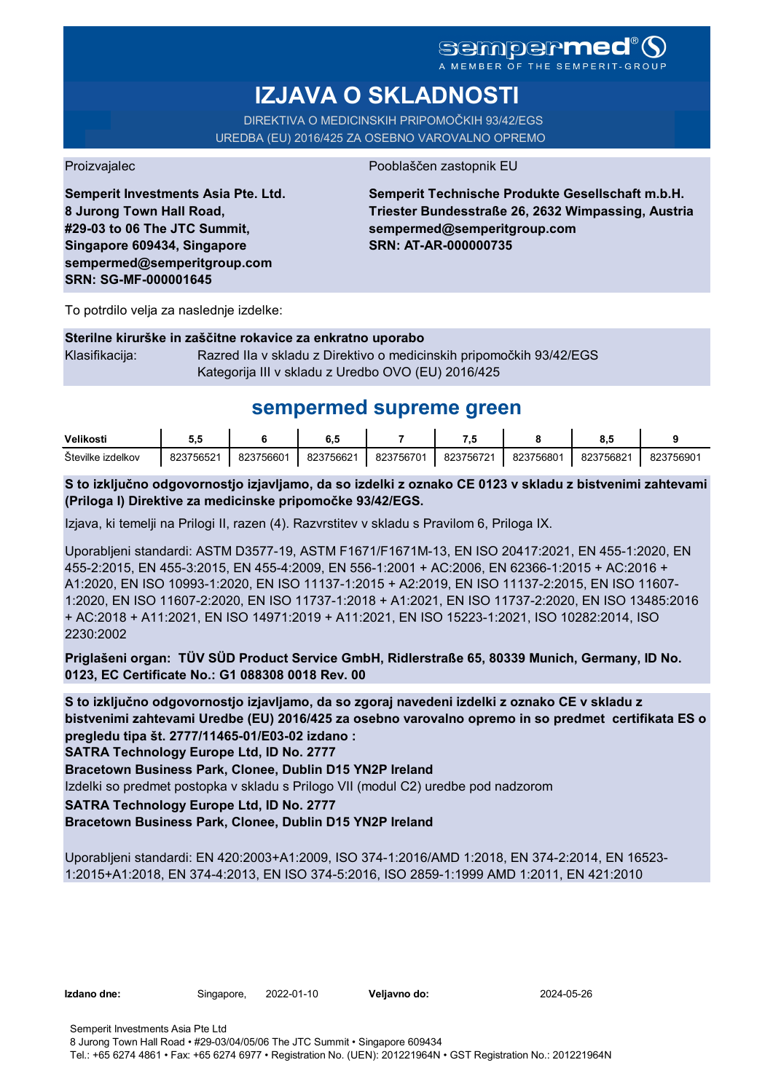A MEMBER OF THE SEMPERIT-GROUP

# **IZJAVA O SKLADNOSTI**

DIREKTIVA O MEDICINSKIH PRIPOMOČKIH 93/42/EGS UREDBA (EU) 2016/425 ZA OSEBNO VAROVALNO OPREMO

Proizvajalec Pooblaščen zastopnik EU

**Semperit Investments Asia Pte. Ltd. 8 Jurong Town Hall Road, #29-03 to 06 The JTC Summit, Singapore 609434, Singapore sempermed@semperitgroup.com SRN: SG-MF-000001645**

**Semperit Technische Produkte Gesellschaft m.b.H. Triester Bundesstraße 26, 2632 Wimpassing, Austria sempermed@semperitgroup.com SRN: AT-AR-000000735**

To potrdilo velja za naslednje izdelke:

#### **Sterilne kirurške in zaščitne rokavice za enkratno uporabo**

Klasifikacija: Razred IIa v skladu z Direktivo o medicinskih pripomočkih 93/42/EGS Kategorija III v skladu z Uredbo OVO (EU) 2016/425

## **sempermed supreme green**

| Velikosti            | υ.,                  |           |           |           |           |           | v.,       |           |
|----------------------|----------------------|-----------|-----------|-----------|-----------|-----------|-----------|-----------|
| Stevilke<br>izdelkov | 375652<br>ററ~<br>DZ. | 823756601 | 823756621 | 823756701 | 823756721 | 823756801 | 823756821 | 823756901 |

**S to izključno odgovornostjo izjavljamo, da so izdelki z oznako CE 0123 v skladu z bistvenimi zahtevami (Priloga I) Direktive za medicinske pripomočke 93/42/EGS.**

Izjava, ki temelji na Prilogi II, razen (4). Razvrstitev v skladu s Pravilom 6, Priloga IX.

Uporabljeni standardi: ASTM D3577-19, ASTM F1671/F1671M-13, EN ISO 20417:2021, EN 455-1:2020, EN 455-2:2015, EN 455-3:2015, EN 455-4:2009, EN 556-1:2001 + AC:2006, EN 62366-1:2015 + AC:2016 + A1:2020, EN ISO 10993-1:2020, EN ISO 11137-1:2015 + A2:2019, EN ISO 11137-2:2015, EN ISO 11607- 1:2020, EN ISO 11607-2:2020, EN ISO 11737-1:2018 + A1:2021, EN ISO 11737-2:2020, EN ISO 13485:2016 + AC:2018 + A11:2021, EN ISO 14971:2019 + A11:2021, EN ISO 15223-1:2021, ISO 10282:2014, ISO 2230:2002

**Priglašeni organ: TÜV SÜD Product Service GmbH, Ridlerstraße 65, 80339 Munich, Germany, ID No. 0123, EC Certificate No.: G1 088308 0018 Rev. 00** 

**S to izključno odgovornostjo izjavljamo, da so zgoraj navedeni izdelki z oznako CE v skladu z bistvenimi zahtevami Uredbe (EU) 2016/425 za osebno varovalno opremo in so predmet certifikata ES o pregledu tipa št. 2777/11465-01/E03-02 izdano :**

**SATRA Technology Europe Ltd, ID No. 2777**

**Bracetown Business Park, Clonee, Dublin D15 YN2P Ireland**

Izdelki so predmet postopka v skladu s Prilogo VII (modul C2) uredbe pod nadzorom

### **SATRA Technology Europe Ltd, ID No. 2777**

#### **Bracetown Business Park, Clonee, Dublin D15 YN2P Ireland**

Uporabljeni standardi: EN 420:2003+A1:2009, ISO 374-1:2016/AMD 1:2018, EN 374-2:2014, EN 16523- 1:2015+A1:2018, EN 374-4:2013, EN ISO 374-5:2016, ISO 2859-1:1999 AMD 1:2011, EN 421:2010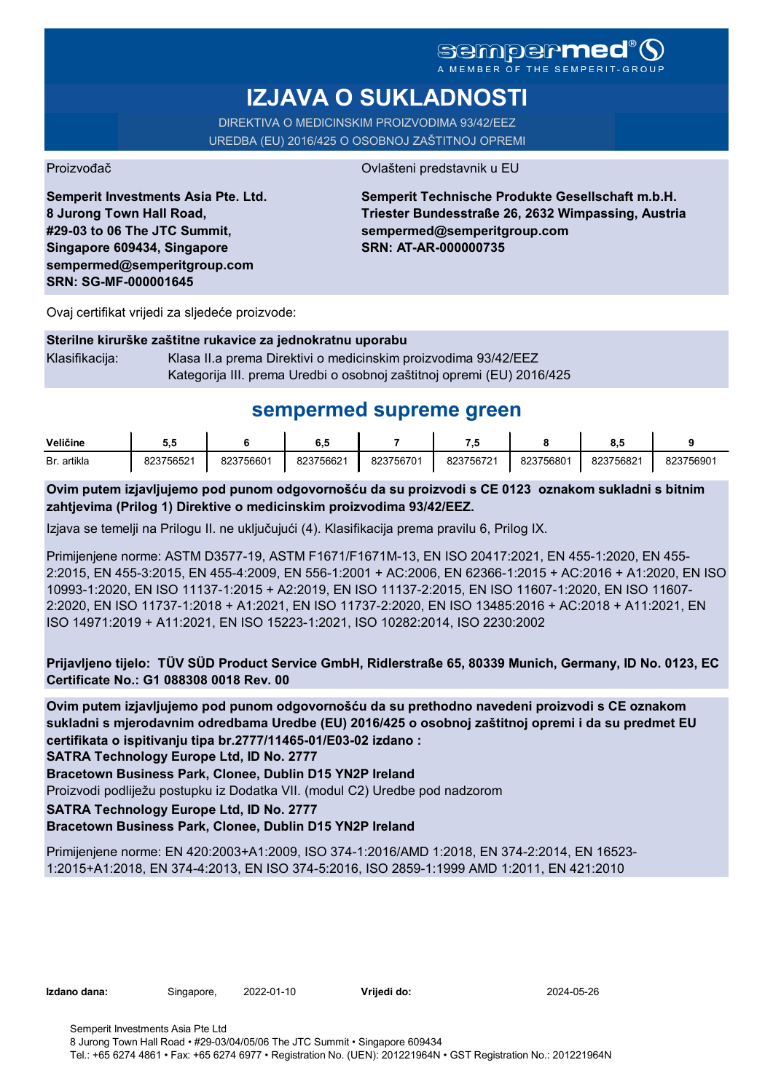# **sempermed**

A MEMBER OF THE

# **IZJAVA O SUKLADNOSTI**

DIREKTIVA O MEDICINSKIM PROIZVODIMA 93/42/EEZ UREDBA (EU) 2016/425 O OSOBNOJ ZAŠTITNOJ OPREMI

Proizvođač **Ovlašteni predstavnik u EU** 

**Semperit Investments Asia Pte. Ltd. 8 Jurong Town Hall Road, #29-03 to 06 The JTC Summit, Singapore 609434, Singapore sempermed@semperitgroup.com SRN: SG-MF-000001645**

**Semperit Technische Produkte Gesellschaft m.b.H. Triester Bundesstraße 26, 2632 Wimpassing, Austria sempermed@semperitgroup.com SRN: AT-AR-000000735**

Ovaj certifikat vrijedi za sljedeće proizvode:

#### **Sterilne kirurške zaštitne rukavice za jednokratnu uporabu**

Klasifikacija: Klasa II.a prema Direktivi o medicinskim proizvodima 93/42/EEZ Kategorija III. prema Uredbi o osobnoj zaštitnoj opremi (EU) 2016/425

## **sempermed supreme green**

| Veličine    | ວ.ວ       |           | $\mathbf{u}$ |           | .         |           | υ.,       |           |
|-------------|-----------|-----------|--------------|-----------|-----------|-----------|-----------|-----------|
| Br. artikla | 823756521 | 823756601 | 823756621    | 823756701 | 823756721 | 823756801 | 823756821 | 823756901 |

**Ovim putem izjavljujemo pod punom odgovornošću da su proizvodi s CE 0123 oznakom sukladni s bitnim zahtjevima (Prilog 1) Direktive o medicinskim proizvodima 93/42/EEZ.**

Izjava se temelji na Prilogu II. ne uključujući (4). Klasifikacija prema pravilu 6, Prilog IX.

Primijenjene norme: ASTM D3577-19, ASTM F1671/F1671M-13, EN ISO 20417:2021, EN 455-1:2020, EN 455- 2:2015, EN 455-3:2015, EN 455-4:2009, EN 556-1:2001 + AC:2006, EN 62366-1:2015 + AC:2016 + A1:2020, EN ISO 10993-1:2020, EN ISO 11137-1:2015 + A2:2019, EN ISO 11137-2:2015, EN ISO 11607-1:2020, EN ISO 11607- 2:2020, EN ISO 11737-1:2018 + A1:2021, EN ISO 11737-2:2020, EN ISO 13485:2016 + AC:2018 + A11:2021, EN ISO 14971:2019 + A11:2021, EN ISO 15223-1:2021, ISO 10282:2014, ISO 2230:2002

**Prijavljeno tijelo: TÜV SÜD Product Service GmbH, Ridlerstraße 65, 80339 Munich, Germany, ID No. 0123, EC Certificate No.: G1 088308 0018 Rev. 00** 

**Ovim putem izjavljujemo pod punom odgovornošću da su prethodno navedeni proizvodi s CE oznakom sukladni s mjerodavnim odredbama Uredbe (EU) 2016/425 o osobnoj zaštitnoj opremi i da su predmet EU certifikata o ispitivanju tipa br.2777/11465-01/E03-02 izdano :**

**SATRA Technology Europe Ltd, ID No. 2777**

**Bracetown Business Park, Clonee, Dublin D15 YN2P Ireland**

Proizvodi podliježu postupku iz Dodatka VII. (modul C2) Uredbe pod nadzorom

**SATRA Technology Europe Ltd, ID No. 2777**

#### **Bracetown Business Park, Clonee, Dublin D15 YN2P Ireland**

Primijenjene norme: EN 420:2003+A1:2009, ISO 374-1:2016/AMD 1:2018, EN 374-2:2014, EN 16523- 1:2015+A1:2018, EN 374-4:2013, EN ISO 374-5:2016, ISO 2859-1:1999 AMD 1:2011, EN 421:2010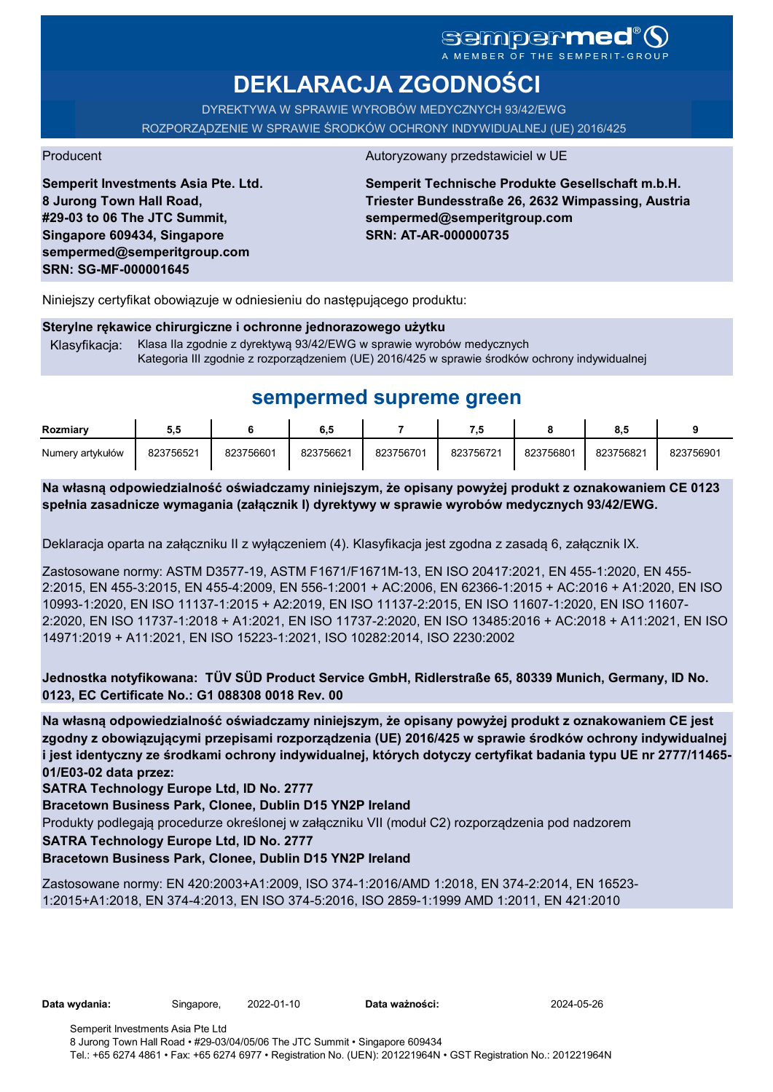# sempermed

**DEKLARACJA ZGODNOŚCI**

DYREKTYWA W SPRAWIE WYROBÓW MEDYCZNYCH 93/42/EWG ROZPORZĄDZENIE W SPRAWIE ŚRODKÓW OCHRONY INDYWIDUALNEJ (UE) 2016/425

**Semperit Investments Asia Pte. Ltd. 8 Jurong Town Hall Road, #29-03 to 06 The JTC Summit, Singapore 609434, Singapore sempermed@semperitgroup.com SRN: SG-MF-000001645**

#### Producent Autoryzowany przedstawiciel w UE

**Semperit Technische Produkte Gesellschaft m.b.H. Triester Bundesstraße 26, 2632 Wimpassing, Austria sempermed@semperitgroup.com SRN: AT-AR-000000735**

Niniejszy certyfikat obowiązuje w odniesieniu do następującego produktu:

#### **Sterylne rękawice chirurgiczne i ochronne jednorazowego użytku**

Klasyfikacja: Klasa IIa zgodnie z dyrektywą 93/42/EWG w sprawie wyrobów medycznych Kategoria III zgodnie z rozporządzeniem (UE) 2016/425 w sprawie środków ochrony indywidualnej

## **sempermed supreme green**

| Rozmiarv         | 5.5       |           | 6.5       |           | .         |           | 8.5       |           |
|------------------|-----------|-----------|-----------|-----------|-----------|-----------|-----------|-----------|
| Numery artykułów | 823756521 | 823756601 | 823756621 | 823756701 | 823756721 | 823756801 | 823756821 | 823756901 |

**Na własną odpowiedzialność oświadczamy niniejszym, że opisany powyżej produkt z oznakowaniem CE 0123 spełnia zasadnicze wymagania (załącznik I) dyrektywy w sprawie wyrobów medycznych 93/42/EWG.**

Deklaracja oparta na załączniku II z wyłączeniem (4). Klasyfikacja jest zgodna z zasadą 6, załącznik IX.

Zastosowane normy: ASTM D3577-19, ASTM F1671/F1671M-13, EN ISO 20417:2021, EN 455-1:2020, EN 455- 2:2015, EN 455-3:2015, EN 455-4:2009, EN 556-1:2001 + AC:2006, EN 62366-1:2015 + AC:2016 + A1:2020, EN ISO 10993-1:2020, EN ISO 11137-1:2015 + A2:2019, EN ISO 11137-2:2015, EN ISO 11607-1:2020, EN ISO 11607- 2:2020, EN ISO 11737-1:2018 + A1:2021, EN ISO 11737-2:2020, EN ISO 13485:2016 + AC:2018 + A11:2021, EN ISO 14971:2019 + A11:2021, EN ISO 15223-1:2021, ISO 10282:2014, ISO 2230:2002

**Jednostka notyfikowana: TÜV SÜD Product Service GmbH, Ridlerstraße 65, 80339 Munich, Germany, ID No. 0123, EC Certificate No.: G1 088308 0018 Rev. 00** 

**Na własną odpowiedzialność oświadczamy niniejszym, że opisany powyżej produkt z oznakowaniem CE jest zgodny z obowiązującymi przepisami rozporządzenia (UE) 2016/425 w sprawie środków ochrony indywidualnej i jest identyczny ze środkami ochrony indywidualnej, których dotyczy certyfikat badania typu UE nr 2777/11465- 01/E03-02 data przez:**

**SATRA Technology Europe Ltd, ID No. 2777**

**Bracetown Business Park, Clonee, Dublin D15 YN2P Ireland**

Produkty podlegają procedurze określonej w załączniku VII (moduł C2) rozporządzenia pod nadzorem

**SATRA Technology Europe Ltd, ID No. 2777**

#### **Bracetown Business Park, Clonee, Dublin D15 YN2P Ireland**

Zastosowane normy: EN 420:2003+A1:2009, ISO 374-1:2016/AMD 1:2018, EN 374-2:2014, EN 16523- 1:2015+A1:2018, EN 374-4:2013, EN ISO 374-5:2016, ISO 2859-1:1999 AMD 1:2011, EN 421:2010

**Data wydania:** Singapore, 2022-01-10 **Data ważności:** 2024-05-26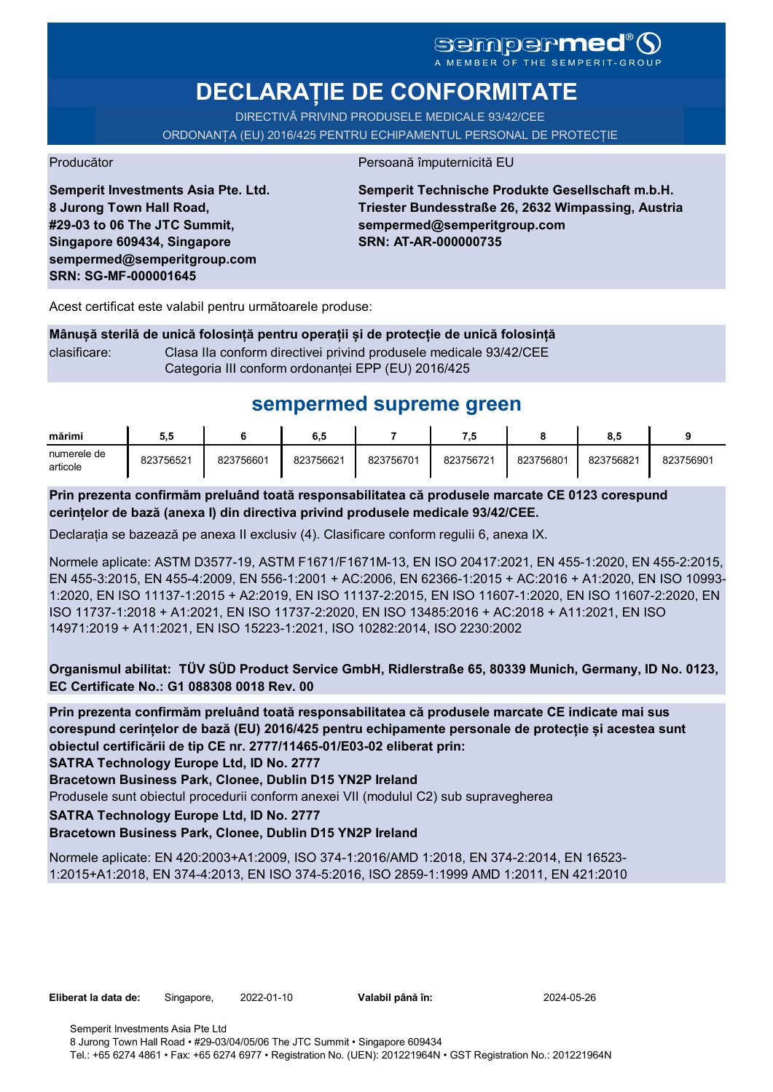# SGMDGPMEd<sup>®</sup>O

**DECLARAȚIE DE CONFORMITATE**

DIRECTIVĂ PRIVIND PRODUSELE MEDICALE 93/42/CEE

ORDONANȚA (EU) 2016/425 PENTRU ECHIPAMENTUL PERSONAL DE PROTECȚIE

Producător **Producător** Persoană împuternicită EU

**Semperit Investments Asia Pte. Ltd. 8 Jurong Town Hall Road, #29-03 to 06 The JTC Summit, Singapore 609434, Singapore sempermed@semperitgroup.com SRN: SG-MF-000001645**

**Semperit Technische Produkte Gesellschaft m.b.H. Triester Bundesstraße 26, 2632 Wimpassing, Austria sempermed@semperitgroup.com SRN: AT-AR-000000735**

Acest certificat este valabil pentru următoarele produse:

**Mânușă sterilă de unică folosință pentru operații și de protecție de unică folosință** clasificare: Clasa IIa conform directivei privind produsele medicale 93/42/CEE Categoria III conform ordonanței EPP (EU) 2016/425

# **sempermed supreme green**

| mărimi                  | 5.5       |           | 6.5       |           | - 14      |           | o<br>o.c  |           |
|-------------------------|-----------|-----------|-----------|-----------|-----------|-----------|-----------|-----------|
| numerele de<br>articole | 823756521 | 823756601 | 823756621 | 823756701 | 823756721 | 823756801 | 823756821 | 823756901 |

**Prin prezenta confirmăm preluând toată responsabilitatea că produsele marcate CE 0123 corespund cerințelor de bază (anexa I) din directiva privind produsele medicale 93/42/CEE.**

Declarația se bazează pe anexa II exclusiv (4). Clasificare conform regulii 6, anexa IX.

Normele aplicate: ASTM D3577-19, ASTM F1671/F1671M-13, EN ISO 20417:2021, EN 455-1:2020, EN 455-2:2015, EN 455-3:2015, EN 455-4:2009, EN 556-1:2001 + AC:2006, EN 62366-1:2015 + AC:2016 + A1:2020, EN ISO 10993- 1:2020, EN ISO 11137-1:2015 + A2:2019, EN ISO 11137-2:2015, EN ISO 11607-1:2020, EN ISO 11607-2:2020, EN ISO 11737-1:2018 + A1:2021, EN ISO 11737-2:2020, EN ISO 13485:2016 + AC:2018 + A11:2021, EN ISO 14971:2019 + A11:2021, EN ISO 15223-1:2021, ISO 10282:2014, ISO 2230:2002

**Organismul abilitat: TÜV SÜD Product Service GmbH, Ridlerstraße 65, 80339 Munich, Germany, ID No. 0123, EC Certificate No.: G1 088308 0018 Rev. 00** 

**Prin prezenta confirmăm preluând toată responsabilitatea că produsele marcate CE indicate mai sus corespund cerințelor de bază (EU) 2016/425 pentru echipamente personale de protecție și acestea sunt obiectul certificării de tip CE nr. 2777/11465-01/E03-02 eliberat prin:**

**SATRA Technology Europe Ltd, ID No. 2777**

**Bracetown Business Park, Clonee, Dublin D15 YN2P Ireland**

Produsele sunt obiectul procedurii conform anexei VII (modulul C2) sub supravegherea

**SATRA Technology Europe Ltd, ID No. 2777**

#### **Bracetown Business Park, Clonee, Dublin D15 YN2P Ireland**

Normele aplicate: EN 420:2003+A1:2009, ISO 374-1:2016/AMD 1:2018, EN 374-2:2014, EN 16523- 1:2015+A1:2018, EN 374-4:2013, EN ISO 374-5:2016, ISO 2859-1:1999 AMD 1:2011, EN 421:2010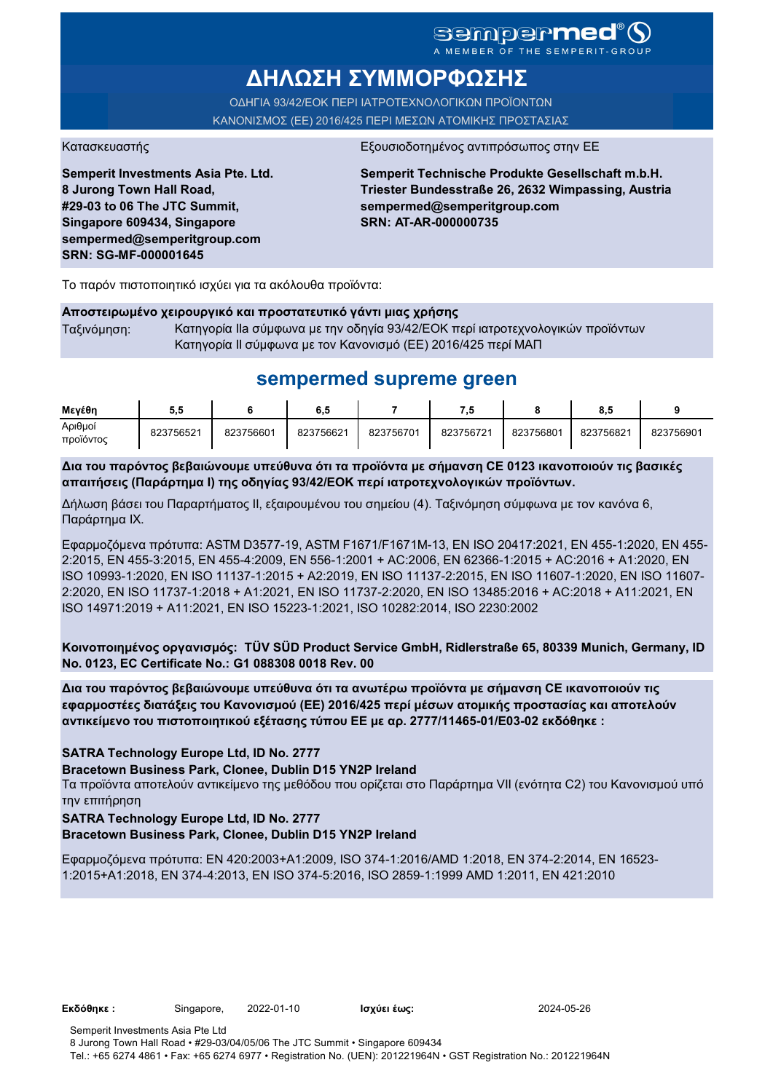### sempermed<sup>®</sup>Q A MEMBER OF THE SEMPERIT-GROUI

**ΔΗΛΩΣΗ ΣΥΜΜΟΡΦΩΣΗΣ**

ΟΔΗΓΙΑ 93/42/ΕΟΚ ΠΕΡΙ ΙΑΤΡΟΤΕΧΝΟΛΟΓΙΚΩΝ ΠΡΟΪΟΝΤΩΝ ΚΑΝΟΝΙΣΜΟΣ (ΕΕ) 2016/425 ΠΕΡΙ ΜΕΣΩΝ ΑΤΟΜΙΚΗΣ ΠΡΟΣΤΑΣΙΑΣ

Κατασκευαστής <u>Εξουσιοδοτημένος αντιπρόσωπος στην Ε</u>

**Semperit Investments Asia Pte. Ltd. 8 Jurong Town Hall Road, #29-03 to 06 The JTC Summit, Singapore 609434, Singapore sempermed@semperitgroup.com SRN: SG-MF-000001645**

**Semperit Technische Produkte Gesellschaft m.b.H. Triester Bundesstraße 26, 2632 Wimpassing, Austria sempermed@semperitgroup.com SRN: AT-AR-000000735**

Το παρόν πιστοποιητικό ισχύει για τα ακόλουθα προϊόντα:

#### **Αποστειρωμένο χειρουργικό και προστατευτικό γάντι μιας χρήσης**

Ταξινόμηση: Κατηγορία IIa σύμφωνα με την οδηγία 93/42/ΕΟΚ περί ιατροτεχνολογικών προϊόντων Κατηγορία II σύμφωνα με τον Κανονισμό (ΕΕ) 2016/425 περί ΜΑΠ

## **sempermed supreme green**

| Μενέθη               | v.v       |           | 6,5       |           | - 14      |           | 8.5       |           |
|----------------------|-----------|-----------|-----------|-----------|-----------|-----------|-----------|-----------|
| Αριθμοί<br>προϊόντος | 823756521 | 823756601 | 823756621 | 823756701 | 823756721 | 823756801 | 823756821 | 823756901 |

**Δια του παρόντος βεβαιώνουμε υπεύθυνα ότι τα προϊόντα με σήμανση CE 0123 ικανοποιούν τις βασικές απαιτήσεις (Παράρτημα I) της οδηγίας 93/42/ΕΟΚ περί ιατροτεχνολογικών προϊόντων.**

Δήλωση βάσει του Παραρτήματος II, εξαιρουμένου του σημείου (4). Ταξινόμηση σύμφωνα με τον κανόνα 6, Παράρτημα IX.

Εφαρμοζόμενα πρότυπα: ASTM D3577-19, ASTM F1671/F1671M-13, EN ISO 20417:2021, EN 455-1:2020, EN 455- 2:2015, EN 455-3:2015, EN 455-4:2009, EN 556-1:2001 + AC:2006, EN 62366-1:2015 + AC:2016 + A1:2020, EN ISO 10993-1:2020, EN ISO 11137-1:2015 + A2:2019, EN ISO 11137-2:2015, EN ISO 11607-1:2020, EN ISO 11607- 2:2020, EN ISO 11737-1:2018 + A1:2021, EN ISO 11737-2:2020, EN ISO 13485:2016 + AC:2018 + A11:2021, EN ISO 14971:2019 + A11:2021, EN ISO 15223-1:2021, ISO 10282:2014, ISO 2230:2002

**Κοινοποιημένος οργανισμός: TÜV SÜD Product Service GmbH, Ridlerstraße 65, 80339 Munich, Germany, ID No. 0123, EC Certificate No.: G1 088308 0018 Rev. 00** 

**Δια του παρόντος βεβαιώνουμε υπεύθυνα ότι τα ανωτέρω προϊόντα με σήμανση CE ικανοποιούν τις εφαρμοστέες διατάξεις του Κανονισμού (ΕΕ) 2016/425 περί μέσων ατομικής προστασίας και αποτελούν αντικείμενο του πιστοποιητικού εξέτασης τύπου ΕΕ με αρ. 2777/11465-01/E03-02 εκδόθηκε :**

#### **SATRA Technology Europe Ltd, ID No. 2777**

**Bracetown Business Park, Clonee, Dublin D15 YN2P Ireland**

Τα προϊόντα αποτελούν αντικείμενο της μεθόδου που ορίζεται στο Παράρτημα VII (ενότητα C2) του Κανονισμού υπό την επιτήρηση

#### **SATRA Technology Europe Ltd, ID No. 2777**

#### **Bracetown Business Park, Clonee, Dublin D15 YN2P Ireland**

Εφαρμοζόμενα πρότυπα: EN 420:2003+A1:2009, ISO 374-1:2016/AMD 1:2018, EN 374-2:2014, EN 16523- 1:2015+A1:2018, EN 374-4:2013, EN ISO 374-5:2016, ISO 2859-1:1999 AMD 1:2011, EN 421:2010

**Εκδόθηκε :** Singapore, 2022-01-10 **Ισχύει έως:** 2024-05-26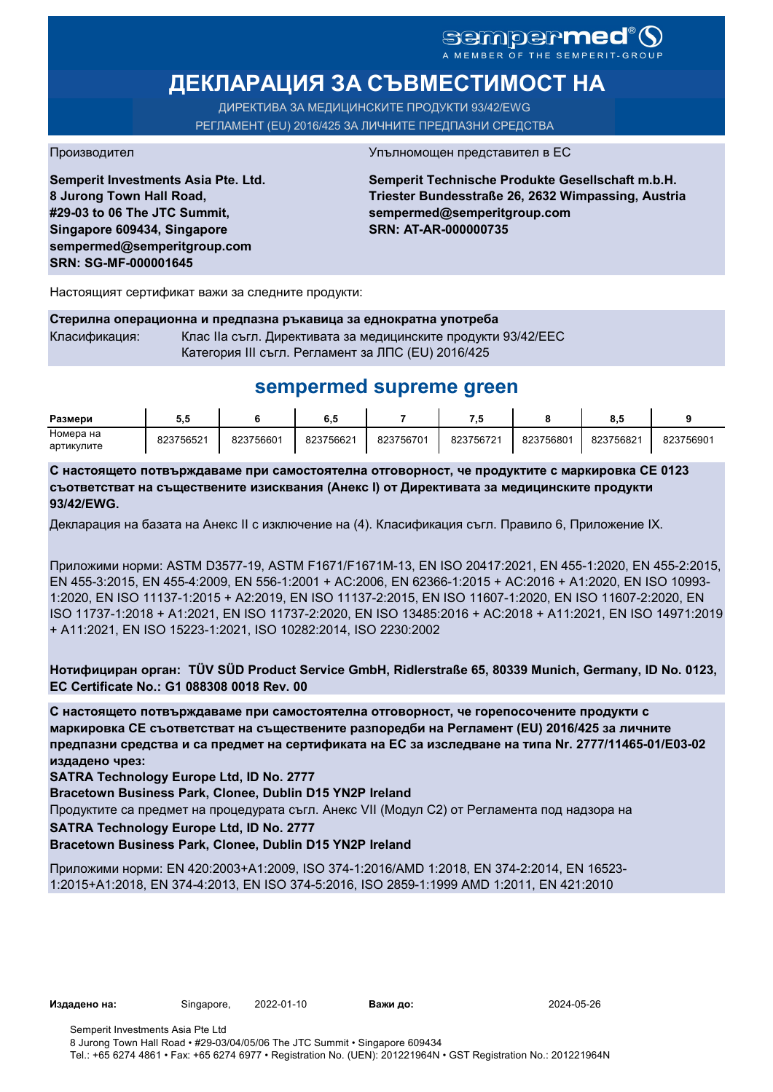# sempermed®

# **ДЕКЛАРАЦИЯ ЗА СЪВМЕСТИМОСТ НА**

ДИРЕКТИВА ЗА МЕДИЦИНСКИТЕ ПРОДУКТИ 93/42/EWG РЕГЛАМЕНТ (EU) 2016/425 ЗА ЛИЧНИТЕ ПРЕДПАЗНИ СРЕДСТВА

**Semperit Investments Asia Pte. Ltd. 8 Jurong Town Hall Road, #29-03 to 06 The JTC Summit, Singapore 609434, Singapore sempermed@semperitgroup.com SRN: SG-MF-000001645**

#### Производител Упълномощен представител в ЕС

**Semperit Technische Produkte Gesellschaft m.b.H. Triester Bundesstraße 26, 2632 Wimpassing, Austria sempermed@semperitgroup.com SRN: AT-AR-000000735**

Настоящият сертификат важи за следните продукти:

**Стерилна операционна и предпазна ръкавица за еднократна употреба** Класификация: Клас IIa съгл. Директивата за медицинските продукти 93/42/EEC Категория III съгл. Регламент за ЛПС (EU) 2016/425

## **sempermed supreme green**

| Размери    | ວ.ະ       |           | 0, J      |           |           |           | ο.υ       |           |
|------------|-----------|-----------|-----------|-----------|-----------|-----------|-----------|-----------|
| Номера на  | 823756521 | 823756601 | 823756621 | 823756701 | 823756721 | 823756801 | 823756821 | 823756901 |
| артикулите |           |           |           |           |           |           |           |           |

**С настоящето потвърждаваме при самостоятелна отговорност, че продуктите с маркировка СЕ 0123 съответстват на съществените изисквания (Анекс I) от Директивата за медицинските продукти 93/42/EWG.**

Декларация на базата на Анекс II с изключение на (4). Класификация съгл. Правило 6, Приложение IX.

Приложими норми: ASTM D3577-19, ASTM F1671/F1671M-13, EN ISO 20417:2021, EN 455-1:2020, EN 455-2:2015, EN 455-3:2015, EN 455-4:2009, EN 556-1:2001 + AC:2006, EN 62366-1:2015 + AC:2016 + A1:2020, EN ISO 10993- 1:2020, EN ISO 11137-1:2015 + A2:2019, EN ISO 11137-2:2015, EN ISO 11607-1:2020, EN ISO 11607-2:2020, EN ISO 11737-1:2018 + A1:2021, EN ISO 11737-2:2020, EN ISO 13485:2016 + AC:2018 + A11:2021, EN ISO 14971:2019 + A11:2021, EN ISO 15223-1:2021, ISO 10282:2014, ISO 2230:2002

**Нотифициран орган: TÜV SÜD Product Service GmbH, Ridlerstraße 65, 80339 Munich, Germany, ID No. 0123, EC Certificate No.: G1 088308 0018 Rev. 00** 

**С настоящето потвърждаваме при самостоятелна отговорност, че горепосочените продукти с маркировка СЕ съответстват на съществените разпоредби на Регламент (EU) 2016/425 за личните предпазни средства и са предмет на сертификата на ЕС за изследване на типа Nr. 2777/11465-01/E03-02 издадено чрез:**

**SATRA Technology Europe Ltd, ID No. 2777**

**Bracetown Business Park, Clonee, Dublin D15 YN2P Ireland**

Продуктите са предмет на процедурата съгл. Анекс VII (Модул С2) от Регламента под надзора на

**SATRA Technology Europe Ltd, ID No. 2777**

**Bracetown Business Park, Clonee, Dublin D15 YN2P Ireland**

Приложими норми: EN 420:2003+A1:2009, ISO 374-1:2016/AMD 1:2018, EN 374-2:2014, EN 16523- 1:2015+A1:2018, EN 374-4:2013, EN ISO 374-5:2016, ISO 2859-1:1999 AMD 1:2011, EN 421:2010